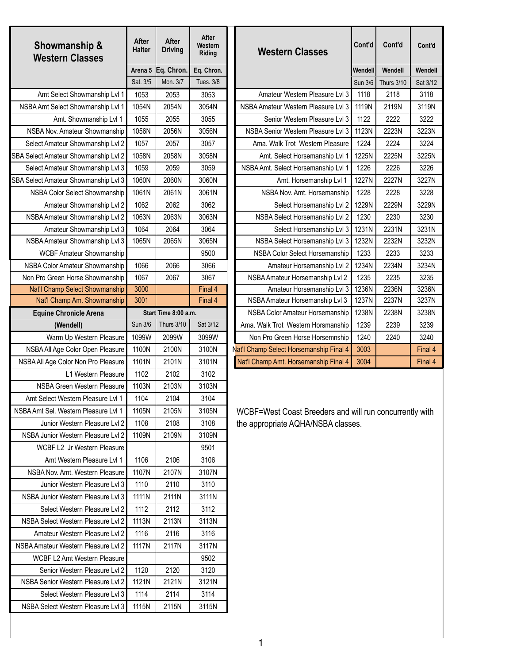| <b>Halter</b><br><b>Driving</b><br><b>Western Classes</b><br>Riding<br><b>Western Classes</b>                              | Cont'd         | Cont'd            | Cont'd   |
|----------------------------------------------------------------------------------------------------------------------------|----------------|-------------------|----------|
| Arena 5 Eq. Chron.<br>Eq. Chron.                                                                                           | Wendell        | Wendell           | Wendell  |
| Sat. 3/5<br>Mon. 3/7<br><b>Tues. 3/8</b>                                                                                   | <b>Sun 3/6</b> | <b>Thurs 3/10</b> | Sat 3/12 |
| Amateur Western Pleasure Lvl 3<br>Amt Select Showmanship Lvl 1<br>1053<br>2053<br>3053                                     | 1118           | 2118              | 3118     |
| 1054N<br>2054N<br>3054N<br>NSBA Amateur Western Pleasure Lvl 3<br>NSBA Amt Select Showmanship Lvl 1                        | 1119N          | 2119N             | 3119N    |
| 1055<br>2055<br>3055<br>Senior Western Pleasure Lvl 3<br>Amt. Showmanship Lvl 1                                            | 1122           | 2222              | 3222     |
| 1056N<br>3056N<br>NSBA Nov. Amateur Showmanship<br>2056N<br>NSBA Senior Western Pleasure Lvl 3                             | 1123N          | 2223N             | 3223N    |
| 1057<br>2057<br>3057<br>Select Amateur Showmanship Lvl 2<br>Ama. Walk Trot Western Pleasure                                | 1224           | 2224              | 3224     |
| SBA Select Amateur Showmanship Lvl 2<br>1058N<br>3058N<br>2058N<br>Amt. Select Horsemanship Lvl 1                          | 1225N          | 2225N             | 3225N    |
| 1059<br>Select Amateur Showmanship Lvl 3<br>2059<br>3059<br>NSBA Amt. Select Horsemanship Lvl 1                            | 1226           | 2226              | 3226     |
| 1060N<br>SBA Select Amateur Showmanship Lvl 3<br>2060N<br>3060N<br>Amt. Horsemanship Lvl 1                                 | 1227N          | 2227N             | 3227N    |
| NSBA Color Select Showmanship<br>1061N<br>2061N<br>3061N<br>NSBA Nov. Amt. Horsemanship                                    | 1228           | 2228              | 3228     |
| 1062<br>3062<br>Amateur Showmanship Lvl 2<br>2062<br>Select Horsemanship Lvl 2                                             | 1229N          | 2229N             | 3229N    |
| 1063N<br>NSBA Amateur Showmanship Lvl 2<br>2063N<br>3063N<br>NSBA Select Horsemanship Lvl 2                                | 1230           | 2230              | 3230     |
| 1064<br>2064<br>3064<br>Amateur Showmanship Lvl 3<br>Select Horsemanship Lvl 3                                             | 1231N          | 2231N             | 3231N    |
| 1065N<br>3065N<br>NSBA Amateur Showmanship Lvl 3<br>2065N<br>NSBA Select Horsemanship Lvl 3                                | 1232N          | 2232N             | 3232N    |
| <b>WCBF Amateur Showmanship</b><br>9500<br>NSBA Color Select Horsemanship                                                  | 1233           | 2233              | 3233     |
| 1066<br>2066<br>3066<br>NSBA Color Amateur Showmanship<br>Amateur Horsemanship Lvl 2                                       | 1234N          | 2234N             | 3234N    |
| 1067<br>3067<br>Non Pro Green Horse Showmanship<br>2067<br>NSBA Amateur Horsemanship Lvl 2                                 | 1235           | 2235              | 3235     |
| 3000<br>Nat'l Champ Select Showmanship<br>Final 4<br>Amateur Horsemanship Lvl 3                                            | 1236N          | 2236N             | 3236N    |
| 3001<br>Final 4<br>Nat'l Champ Am. Showmanship<br>NSBA Amateur Horsemanship Lvl 3                                          | 1237N          | 2237N             | 3237N    |
| NSBA Color Amateur Horsemanship<br><b>Equine Chronicle Arena</b><br>Start Time 8:00 a.m.                                   | 1238N          | 2238N             | 3238N    |
| Sun 3/6<br>Thurs 3/10<br>Sat 3/12<br>Ama. Walk Trot Western Horsmanship<br>(Wendell)                                       | 1239           | 2239              | 3239     |
| 1099W<br>2099W<br>Non Pro Green Horse Horsemnship<br>3099W<br>Warm Up Western Pleasure                                     | 1240           | 2240              | 3240     |
| 1100N<br>2100N<br>3100N<br>Nat'l Champ Select Horsemanship Final 4<br>NSBA All Age Color Open Pleasure                     | 3003           |                   | Final 4  |
| 1101N<br>2101N<br>3101N<br>Nat'l Champ Amt. Horsemanship Final 4<br>NSBA All Age Color Non Pro Pleasure                    | 3004           |                   | Final 4  |
| 1102<br>2102<br>L1 Western Pleasure<br>3102                                                                                |                |                   |          |
| 1103N<br>2103N<br>3103N<br><b>NSBA Green Western Pleasure</b>                                                              |                |                   |          |
| 1104<br>3104<br>2104<br>Amt Select Western Pleasure Lvl 1                                                                  |                |                   |          |
| NSBA Amt Sel. Western Pleasure Lvl 1<br>1105N<br>2105N<br>3105N<br>WCBF=West Coast Breeders and will run concurrently with |                |                   |          |
| Junior Western Pleasure Lvl 2<br>1108<br>2108<br>3108<br>the appropriate AQHA/NSBA classes.                                |                |                   |          |
| NSBA Junior Western Pleasure Lvl 2<br>1109N<br>2109N<br>3109N                                                              |                |                   |          |
| WCBF L2 Jr Western Pleasure<br>9501                                                                                        |                |                   |          |
| Amt Western Pleasure Lvl 1<br>1106<br>2106<br>3106                                                                         |                |                   |          |
| NSBA Nov. Amt. Western Pleasure<br>1107N<br>2107N<br>3107N                                                                 |                |                   |          |
| Junior Western Pleasure Lvl 3<br>1110<br>2110<br>3110                                                                      |                |                   |          |
| NSBA Junior Western Pleasure Lvl 3<br>1111N<br>2111N<br>3111N                                                              |                |                   |          |
| Select Western Pleasure Lvl 2<br>1112<br>2112<br>3112                                                                      |                |                   |          |
| NSBA Select Western Pleasure Lvl 2<br>1113N<br>2113N<br>3113N                                                              |                |                   |          |
| Amateur Western Pleasure Lvl 2<br>1116<br>2116<br>3116                                                                     |                |                   |          |
| NSBA Amateur Western Pleasure Lvl 2<br>1117N<br>2117N<br>3117N                                                             |                |                   |          |
| WCBF L2 Amt Western Pleasure<br>9502                                                                                       |                |                   |          |
| 1120<br>Senior Western Pleasure Lvl 2<br>2120<br>3120                                                                      |                |                   |          |
| NSBA Senior Western Pleasure Lvl 2<br>1121N<br>3121N<br>2121N                                                              |                |                   |          |
| Select Western Pleasure Lvl 3<br>1114<br>2114<br>3114                                                                      |                |                   |          |
| NSBA Select Western Pleasure Lvl 3<br>1115N<br>2115N<br>3115N                                                              |                |                   |          |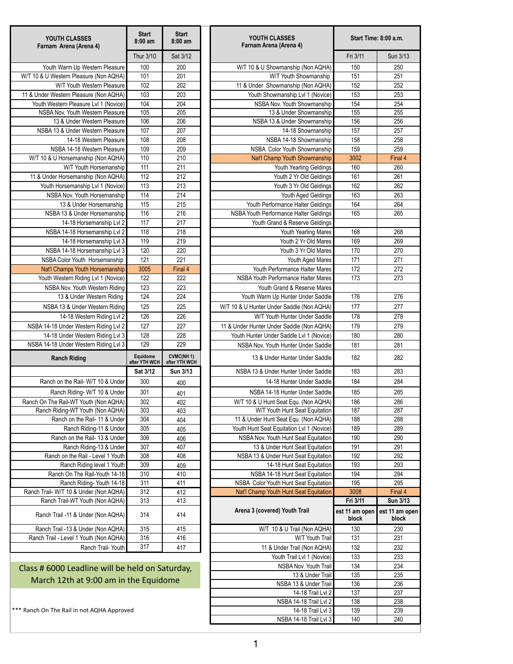| Thur 3/10<br>Sat 3/12<br>Fri 3/11<br>Sun 3/13<br>Youth Warm Up Western Pleasure<br>100<br>200<br>W/T 10 & U Showmanship (Non AQHA)<br>150<br>250<br>$\overline{201}$<br>101<br>151<br>251<br>W/T Youth Showmanship<br>102<br>202<br>W/T Youth Western Pleasure<br>152<br>252<br>11 & Under Showmanship (Non AQHA)<br>103<br>203<br>153<br>253<br>Youth Showmanship Lvl 1 (Novice)<br>104<br>204<br>254<br>Youth Western Pleasure Lvl 1 (Novice)<br>154<br>NSBA Nov. Youth Showmanship<br>205<br>105<br>13 & Under Showmanship<br>155<br>255<br>NSBA Nov. Youth Western Pleasure<br>106<br>206<br>156<br>256<br>13 & Under Western Pleasure<br>NSBA 13 & Under Showmanship<br>107<br>207<br>157<br>257<br>NSBA 13 & Under Western Pleasure<br>14-18 Showmanship<br>108<br>208<br>158<br>14-18 Western Pleasure<br>NSBA 14-18 Showmanship<br>258<br>109<br>209<br>NSBA 14-18 Western Pleasure<br>NSBA Color Youth Showmanship<br>159<br>259<br>110<br>210<br>Nat'l Champ Youth Showmanship<br>3002<br>Final 4<br>W/T 10 & U Horsemanship (Non AQHA)<br>111<br>211<br>W/T Youth Horsemanship<br>Youth Yearling Geldings<br>160<br>260<br>112<br>212<br>11 & Under Horsemanship (Non AQHA)<br>161<br>261<br>Youth 2 Yr Old Geldings<br>113<br>213<br>162<br>262<br>Youth Horsemanship Lvl 1 (Novice)<br>Youth 3 Yr Old Geldings<br>$\overline{114}$<br>214<br>163<br>263<br>NSBA Nov. Youth Horsemanship<br>Youth Aged Geldings<br>115<br>215<br>164<br>264<br>13 & Under Horsemanship<br>Youth Performance Halter Geldings<br>116<br>216<br>NSBA Youth Performance Halter Geldings<br>165<br>NSBA 13 & Under Horsemanship<br>265<br>117<br>217<br>14-18 Horsemanship Lvl 2<br>Youth Grand & Reserve Geldings<br>118<br>218<br>NSBA 14-18 Horsemanship Lvl 2<br>Youth Yearling Mares<br>168<br>268<br>219<br>119<br>169<br>269<br>14-18 Horsemanship Lvl 3<br>Youth 2 Yr Old Mares<br>120<br>220<br>NSBA 14-18 Horsemanship Lvl 3<br>Youth 3 Yr Old Mares<br>170<br>270<br>121<br>221<br>171<br>271<br>NSBA Color Youth Horsemanship<br>Youth Aged Mares<br>3005<br>Final 4<br>Youth Performance Halter Mares<br>172<br>272<br>Nat'l Champs Youth Horsemanship<br>122<br>222<br>Youth Western Riding Lvl 1 (Novice)<br>NSBA Youth Performance Halter Mares<br>173<br>273<br>123<br>223<br>NSBA Nov. Youth Western Riding<br>Youth Grand & Reserve Mares<br>124<br>224<br>176<br>276<br>13 & Under Western Riding<br>Youth Warm Up Hunter Under Saddle<br>125<br>225<br>177<br>NSBA 13 & Under Western Riding<br>W/T 10 & U Hunter Under Saddle (Non AQHA)<br>277<br>126<br>226<br>W/T Youth Hunter Under Saddle<br>278<br>14-18 Western Riding Lvl 2<br>178<br>127<br>227<br>NSBA 14-18 Under Western Riding Lvl 2<br>11 & Under Hunter Under Saddle (Non AQHA)<br>179<br>279<br>128<br>228<br>180<br>280<br>14-18 Under Western Riding Lvl 3<br>Youth Hunter Under Saddle Lvl 1 (Novice)<br>129<br>229<br>NSBA 14-18 Under Western Riding Lvl 3<br>281<br>NSBA Nov. Youth Hunter Under Saddle<br>181<br><b>CVMC(NH1)</b><br>Equidome<br>182<br>282<br><b>Ranch Riding</b><br>13 & Under Hunter Under Saddle<br>after YTH WCH<br>after YTH WCH<br>183<br>283<br>Sat 3/12<br>NSBA 13 & Under Hunter Under Saddle<br>Sun 3/13<br>Ranch on the Rail- W/T 10 & Under<br>300<br>184<br>284<br>14-18 Hunter Under Saddle<br>400<br>301<br>185<br>Ranch Riding- W/T 10 & Under<br>NSBA 14-18 Hunter Under Saddle<br>285<br>401<br>302<br>186<br>286<br>Ranch On The Rail-WT Youth (Non AQHA)<br>W/T 10 & U Hunt Seat Equ. (Non AQHA)<br>402<br>303<br>187<br>287<br>Ranch Riding-WT Youth (Non AQHA)<br>W/T Youth Hunt Seat Equitation<br>403<br>304<br>Ranch on the Rail- 11 & Under<br>11 & Under Hunt Seat Equ. (Non AQHA)<br>188<br>288<br>404<br>305<br>Youth Hunt Seat Equitation Lvl 1 (Novice)<br>Ranch Riding-11 & Under<br>189<br>289<br>405<br>306<br>Ranch on the Rail- 13 & Under<br>NSBA Nov. Youth Hunt Seat Equitation<br>190<br>290<br>406<br>307<br>Ranch Riding-13 & Under<br>407<br>191<br>291<br>13 & Under Hunt Seat Equitation<br>308<br>Ranch on the Rail - Level 1 Youth<br>408<br>192<br>292<br>NSBA 13 & Under Hunt Seat Equitation<br>309<br>293<br>Ranch Riding level 1 Youth<br>14-18 Hunt Seat Equitation<br>193<br>409<br>Ranch On The Rail-Youth 14-18<br>310<br>410<br>NSBA 14-18 Hunt Seat Equitation<br>194<br>294<br>311<br>411<br>195<br>295<br>Ranch Riding- Youth 14-18<br>NSBA Color Youth Hunt Seat Equitation<br>312<br>Ranch Trail- W/T 10 & Under (Non AQHA)<br>412<br>Nat'l Champ Youth Hunt Seat Equitation<br>3008<br>Final 4<br>Fri 3/11<br><b>Sun 3/13</b><br>313<br>413<br>Ranch Trail-WT Youth (Non AQHA)<br>Arena 3 (covered) Youth Trail<br>est 11 am open<br>est 11 am open<br>314<br>414<br>Ranch Trail -11 & Under (Non AQHA)<br>block<br>block<br>315<br>Ranch Trail -13 & Under (Non AQHA)<br>415<br>130<br>W/T 10 & U Trail (Non AQHA)<br>230<br>Ranch Trail - Level 1 Youth (Non AQHA)<br>316<br>416<br>W/T Youth Trail<br>131<br>231<br>317<br>Ranch Trail- Youth<br>417<br>132<br>232<br>11 & Under Trail (Non AQHA)<br>Youth Trail Lvl 1 (Novice)<br>133<br>233<br>NSBA Nov. Youth Trail<br>134<br>234<br>Class # 6000 Leadline will be held on Saturday,<br>135<br>13 & Under Trail<br>235<br>March 12th at 9:00 am in the Equidome<br>NSBA 13 & Under Trail<br>136<br>236<br>14-18 Trail Lvl 2<br>137<br>237<br>NSBA 14-18 Trail Lvl 2<br>238<br>138<br>Ranch On The Rail in not AQHA Approved<br>14-18 Trail Lvl 3<br>239<br>139<br>NSBA 14-18 Trail Lvl 3<br>140<br>240 | YOUTH CLASSES<br>Farnam Arena (Arena 4) | <b>Start</b><br>$8:00$ am | <b>Start</b><br>$8:00$ am | YOUTH CLASSES<br>Farnam Arena (Arena 4) | Start Time: 8:00 a.m. |  |
|----------------------------------------------------------------------------------------------------------------------------------------------------------------------------------------------------------------------------------------------------------------------------------------------------------------------------------------------------------------------------------------------------------------------------------------------------------------------------------------------------------------------------------------------------------------------------------------------------------------------------------------------------------------------------------------------------------------------------------------------------------------------------------------------------------------------------------------------------------------------------------------------------------------------------------------------------------------------------------------------------------------------------------------------------------------------------------------------------------------------------------------------------------------------------------------------------------------------------------------------------------------------------------------------------------------------------------------------------------------------------------------------------------------------------------------------------------------------------------------------------------------------------------------------------------------------------------------------------------------------------------------------------------------------------------------------------------------------------------------------------------------------------------------------------------------------------------------------------------------------------------------------------------------------------------------------------------------------------------------------------------------------------------------------------------------------------------------------------------------------------------------------------------------------------------------------------------------------------------------------------------------------------------------------------------------------------------------------------------------------------------------------------------------------------------------------------------------------------------------------------------------------------------------------------------------------------------------------------------------------------------------------------------------------------------------------------------------------------------------------------------------------------------------------------------------------------------------------------------------------------------------------------------------------------------------------------------------------------------------------------------------------------------------------------------------------------------------------------------------------------------------------------------------------------------------------------------------------------------------------------------------------------------------------------------------------------------------------------------------------------------------------------------------------------------------------------------------------------------------------------------------------------------------------------------------------------------------------------------------------------------------------------------------------------------------------------------------------------------------------------------------------------------------------------------------------------------------------------------------------------------------------------------------------------------------------------------------------------------------------------------------------------------------------------------------------------------------------------------------------------------------------------------------------------------------------------------------------------------------------------------------------------------------------------------------------------------------------------------------------------------------------------------------------------------------------------------------------------------------------------------------------------------------------------------------------------------------------------------------------------------------------------------------------------------------------------------------------------------------------------------------------------------------------------------------------------------------------------------------------------------------------------------------------------------------------------------------------------------------------------------------------------------------------------------------------------------------------------------------------------------------------------------------------------------------------------------------------------------------------------------------------------------------------------------------------------------------------------------------------------------------------------------------------------------------------------------------------------------------------------------------------------------|-----------------------------------------|---------------------------|---------------------------|-----------------------------------------|-----------------------|--|
|                                                                                                                                                                                                                                                                                                                                                                                                                                                                                                                                                                                                                                                                                                                                                                                                                                                                                                                                                                                                                                                                                                                                                                                                                                                                                                                                                                                                                                                                                                                                                                                                                                                                                                                                                                                                                                                                                                                                                                                                                                                                                                                                                                                                                                                                                                                                                                                                                                                                                                                                                                                                                                                                                                                                                                                                                                                                                                                                                                                                                                                                                                                                                                                                                                                                                                                                                                                                                                                                                                                                                                                                                                                                                                                                                                                                                                                                                                                                                                                                                                                                                                                                                                                                                                                                                                                                                                                                                                                                                                                                                                                                                                                                                                                                                                                                                                                                                                                                                                                                                                                                                                                                                                                                                                                                                                                                                                                                                                                                                                                                  |                                         |                           |                           |                                         |                       |  |
|                                                                                                                                                                                                                                                                                                                                                                                                                                                                                                                                                                                                                                                                                                                                                                                                                                                                                                                                                                                                                                                                                                                                                                                                                                                                                                                                                                                                                                                                                                                                                                                                                                                                                                                                                                                                                                                                                                                                                                                                                                                                                                                                                                                                                                                                                                                                                                                                                                                                                                                                                                                                                                                                                                                                                                                                                                                                                                                                                                                                                                                                                                                                                                                                                                                                                                                                                                                                                                                                                                                                                                                                                                                                                                                                                                                                                                                                                                                                                                                                                                                                                                                                                                                                                                                                                                                                                                                                                                                                                                                                                                                                                                                                                                                                                                                                                                                                                                                                                                                                                                                                                                                                                                                                                                                                                                                                                                                                                                                                                                                                  |                                         |                           |                           |                                         |                       |  |
|                                                                                                                                                                                                                                                                                                                                                                                                                                                                                                                                                                                                                                                                                                                                                                                                                                                                                                                                                                                                                                                                                                                                                                                                                                                                                                                                                                                                                                                                                                                                                                                                                                                                                                                                                                                                                                                                                                                                                                                                                                                                                                                                                                                                                                                                                                                                                                                                                                                                                                                                                                                                                                                                                                                                                                                                                                                                                                                                                                                                                                                                                                                                                                                                                                                                                                                                                                                                                                                                                                                                                                                                                                                                                                                                                                                                                                                                                                                                                                                                                                                                                                                                                                                                                                                                                                                                                                                                                                                                                                                                                                                                                                                                                                                                                                                                                                                                                                                                                                                                                                                                                                                                                                                                                                                                                                                                                                                                                                                                                                                                  | W/T 10 & U Western Pleasure (Non AQHA)  |                           |                           |                                         |                       |  |
|                                                                                                                                                                                                                                                                                                                                                                                                                                                                                                                                                                                                                                                                                                                                                                                                                                                                                                                                                                                                                                                                                                                                                                                                                                                                                                                                                                                                                                                                                                                                                                                                                                                                                                                                                                                                                                                                                                                                                                                                                                                                                                                                                                                                                                                                                                                                                                                                                                                                                                                                                                                                                                                                                                                                                                                                                                                                                                                                                                                                                                                                                                                                                                                                                                                                                                                                                                                                                                                                                                                                                                                                                                                                                                                                                                                                                                                                                                                                                                                                                                                                                                                                                                                                                                                                                                                                                                                                                                                                                                                                                                                                                                                                                                                                                                                                                                                                                                                                                                                                                                                                                                                                                                                                                                                                                                                                                                                                                                                                                                                                  |                                         |                           |                           |                                         |                       |  |
|                                                                                                                                                                                                                                                                                                                                                                                                                                                                                                                                                                                                                                                                                                                                                                                                                                                                                                                                                                                                                                                                                                                                                                                                                                                                                                                                                                                                                                                                                                                                                                                                                                                                                                                                                                                                                                                                                                                                                                                                                                                                                                                                                                                                                                                                                                                                                                                                                                                                                                                                                                                                                                                                                                                                                                                                                                                                                                                                                                                                                                                                                                                                                                                                                                                                                                                                                                                                                                                                                                                                                                                                                                                                                                                                                                                                                                                                                                                                                                                                                                                                                                                                                                                                                                                                                                                                                                                                                                                                                                                                                                                                                                                                                                                                                                                                                                                                                                                                                                                                                                                                                                                                                                                                                                                                                                                                                                                                                                                                                                                                  | 11 & Under Western Pleasure (Non AQHA)  |                           |                           |                                         |                       |  |
|                                                                                                                                                                                                                                                                                                                                                                                                                                                                                                                                                                                                                                                                                                                                                                                                                                                                                                                                                                                                                                                                                                                                                                                                                                                                                                                                                                                                                                                                                                                                                                                                                                                                                                                                                                                                                                                                                                                                                                                                                                                                                                                                                                                                                                                                                                                                                                                                                                                                                                                                                                                                                                                                                                                                                                                                                                                                                                                                                                                                                                                                                                                                                                                                                                                                                                                                                                                                                                                                                                                                                                                                                                                                                                                                                                                                                                                                                                                                                                                                                                                                                                                                                                                                                                                                                                                                                                                                                                                                                                                                                                                                                                                                                                                                                                                                                                                                                                                                                                                                                                                                                                                                                                                                                                                                                                                                                                                                                                                                                                                                  |                                         |                           |                           |                                         |                       |  |
|                                                                                                                                                                                                                                                                                                                                                                                                                                                                                                                                                                                                                                                                                                                                                                                                                                                                                                                                                                                                                                                                                                                                                                                                                                                                                                                                                                                                                                                                                                                                                                                                                                                                                                                                                                                                                                                                                                                                                                                                                                                                                                                                                                                                                                                                                                                                                                                                                                                                                                                                                                                                                                                                                                                                                                                                                                                                                                                                                                                                                                                                                                                                                                                                                                                                                                                                                                                                                                                                                                                                                                                                                                                                                                                                                                                                                                                                                                                                                                                                                                                                                                                                                                                                                                                                                                                                                                                                                                                                                                                                                                                                                                                                                                                                                                                                                                                                                                                                                                                                                                                                                                                                                                                                                                                                                                                                                                                                                                                                                                                                  |                                         |                           |                           |                                         |                       |  |
|                                                                                                                                                                                                                                                                                                                                                                                                                                                                                                                                                                                                                                                                                                                                                                                                                                                                                                                                                                                                                                                                                                                                                                                                                                                                                                                                                                                                                                                                                                                                                                                                                                                                                                                                                                                                                                                                                                                                                                                                                                                                                                                                                                                                                                                                                                                                                                                                                                                                                                                                                                                                                                                                                                                                                                                                                                                                                                                                                                                                                                                                                                                                                                                                                                                                                                                                                                                                                                                                                                                                                                                                                                                                                                                                                                                                                                                                                                                                                                                                                                                                                                                                                                                                                                                                                                                                                                                                                                                                                                                                                                                                                                                                                                                                                                                                                                                                                                                                                                                                                                                                                                                                                                                                                                                                                                                                                                                                                                                                                                                                  |                                         |                           |                           |                                         |                       |  |
|                                                                                                                                                                                                                                                                                                                                                                                                                                                                                                                                                                                                                                                                                                                                                                                                                                                                                                                                                                                                                                                                                                                                                                                                                                                                                                                                                                                                                                                                                                                                                                                                                                                                                                                                                                                                                                                                                                                                                                                                                                                                                                                                                                                                                                                                                                                                                                                                                                                                                                                                                                                                                                                                                                                                                                                                                                                                                                                                                                                                                                                                                                                                                                                                                                                                                                                                                                                                                                                                                                                                                                                                                                                                                                                                                                                                                                                                                                                                                                                                                                                                                                                                                                                                                                                                                                                                                                                                                                                                                                                                                                                                                                                                                                                                                                                                                                                                                                                                                                                                                                                                                                                                                                                                                                                                                                                                                                                                                                                                                                                                  |                                         |                           |                           |                                         |                       |  |
|                                                                                                                                                                                                                                                                                                                                                                                                                                                                                                                                                                                                                                                                                                                                                                                                                                                                                                                                                                                                                                                                                                                                                                                                                                                                                                                                                                                                                                                                                                                                                                                                                                                                                                                                                                                                                                                                                                                                                                                                                                                                                                                                                                                                                                                                                                                                                                                                                                                                                                                                                                                                                                                                                                                                                                                                                                                                                                                                                                                                                                                                                                                                                                                                                                                                                                                                                                                                                                                                                                                                                                                                                                                                                                                                                                                                                                                                                                                                                                                                                                                                                                                                                                                                                                                                                                                                                                                                                                                                                                                                                                                                                                                                                                                                                                                                                                                                                                                                                                                                                                                                                                                                                                                                                                                                                                                                                                                                                                                                                                                                  |                                         |                           |                           |                                         |                       |  |
|                                                                                                                                                                                                                                                                                                                                                                                                                                                                                                                                                                                                                                                                                                                                                                                                                                                                                                                                                                                                                                                                                                                                                                                                                                                                                                                                                                                                                                                                                                                                                                                                                                                                                                                                                                                                                                                                                                                                                                                                                                                                                                                                                                                                                                                                                                                                                                                                                                                                                                                                                                                                                                                                                                                                                                                                                                                                                                                                                                                                                                                                                                                                                                                                                                                                                                                                                                                                                                                                                                                                                                                                                                                                                                                                                                                                                                                                                                                                                                                                                                                                                                                                                                                                                                                                                                                                                                                                                                                                                                                                                                                                                                                                                                                                                                                                                                                                                                                                                                                                                                                                                                                                                                                                                                                                                                                                                                                                                                                                                                                                  |                                         |                           |                           |                                         |                       |  |
|                                                                                                                                                                                                                                                                                                                                                                                                                                                                                                                                                                                                                                                                                                                                                                                                                                                                                                                                                                                                                                                                                                                                                                                                                                                                                                                                                                                                                                                                                                                                                                                                                                                                                                                                                                                                                                                                                                                                                                                                                                                                                                                                                                                                                                                                                                                                                                                                                                                                                                                                                                                                                                                                                                                                                                                                                                                                                                                                                                                                                                                                                                                                                                                                                                                                                                                                                                                                                                                                                                                                                                                                                                                                                                                                                                                                                                                                                                                                                                                                                                                                                                                                                                                                                                                                                                                                                                                                                                                                                                                                                                                                                                                                                                                                                                                                                                                                                                                                                                                                                                                                                                                                                                                                                                                                                                                                                                                                                                                                                                                                  |                                         |                           |                           |                                         |                       |  |
|                                                                                                                                                                                                                                                                                                                                                                                                                                                                                                                                                                                                                                                                                                                                                                                                                                                                                                                                                                                                                                                                                                                                                                                                                                                                                                                                                                                                                                                                                                                                                                                                                                                                                                                                                                                                                                                                                                                                                                                                                                                                                                                                                                                                                                                                                                                                                                                                                                                                                                                                                                                                                                                                                                                                                                                                                                                                                                                                                                                                                                                                                                                                                                                                                                                                                                                                                                                                                                                                                                                                                                                                                                                                                                                                                                                                                                                                                                                                                                                                                                                                                                                                                                                                                                                                                                                                                                                                                                                                                                                                                                                                                                                                                                                                                                                                                                                                                                                                                                                                                                                                                                                                                                                                                                                                                                                                                                                                                                                                                                                                  |                                         |                           |                           |                                         |                       |  |
|                                                                                                                                                                                                                                                                                                                                                                                                                                                                                                                                                                                                                                                                                                                                                                                                                                                                                                                                                                                                                                                                                                                                                                                                                                                                                                                                                                                                                                                                                                                                                                                                                                                                                                                                                                                                                                                                                                                                                                                                                                                                                                                                                                                                                                                                                                                                                                                                                                                                                                                                                                                                                                                                                                                                                                                                                                                                                                                                                                                                                                                                                                                                                                                                                                                                                                                                                                                                                                                                                                                                                                                                                                                                                                                                                                                                                                                                                                                                                                                                                                                                                                                                                                                                                                                                                                                                                                                                                                                                                                                                                                                                                                                                                                                                                                                                                                                                                                                                                                                                                                                                                                                                                                                                                                                                                                                                                                                                                                                                                                                                  |                                         |                           |                           |                                         |                       |  |
|                                                                                                                                                                                                                                                                                                                                                                                                                                                                                                                                                                                                                                                                                                                                                                                                                                                                                                                                                                                                                                                                                                                                                                                                                                                                                                                                                                                                                                                                                                                                                                                                                                                                                                                                                                                                                                                                                                                                                                                                                                                                                                                                                                                                                                                                                                                                                                                                                                                                                                                                                                                                                                                                                                                                                                                                                                                                                                                                                                                                                                                                                                                                                                                                                                                                                                                                                                                                                                                                                                                                                                                                                                                                                                                                                                                                                                                                                                                                                                                                                                                                                                                                                                                                                                                                                                                                                                                                                                                                                                                                                                                                                                                                                                                                                                                                                                                                                                                                                                                                                                                                                                                                                                                                                                                                                                                                                                                                                                                                                                                                  |                                         |                           |                           |                                         |                       |  |
|                                                                                                                                                                                                                                                                                                                                                                                                                                                                                                                                                                                                                                                                                                                                                                                                                                                                                                                                                                                                                                                                                                                                                                                                                                                                                                                                                                                                                                                                                                                                                                                                                                                                                                                                                                                                                                                                                                                                                                                                                                                                                                                                                                                                                                                                                                                                                                                                                                                                                                                                                                                                                                                                                                                                                                                                                                                                                                                                                                                                                                                                                                                                                                                                                                                                                                                                                                                                                                                                                                                                                                                                                                                                                                                                                                                                                                                                                                                                                                                                                                                                                                                                                                                                                                                                                                                                                                                                                                                                                                                                                                                                                                                                                                                                                                                                                                                                                                                                                                                                                                                                                                                                                                                                                                                                                                                                                                                                                                                                                                                                  |                                         |                           |                           |                                         |                       |  |
|                                                                                                                                                                                                                                                                                                                                                                                                                                                                                                                                                                                                                                                                                                                                                                                                                                                                                                                                                                                                                                                                                                                                                                                                                                                                                                                                                                                                                                                                                                                                                                                                                                                                                                                                                                                                                                                                                                                                                                                                                                                                                                                                                                                                                                                                                                                                                                                                                                                                                                                                                                                                                                                                                                                                                                                                                                                                                                                                                                                                                                                                                                                                                                                                                                                                                                                                                                                                                                                                                                                                                                                                                                                                                                                                                                                                                                                                                                                                                                                                                                                                                                                                                                                                                                                                                                                                                                                                                                                                                                                                                                                                                                                                                                                                                                                                                                                                                                                                                                                                                                                                                                                                                                                                                                                                                                                                                                                                                                                                                                                                  |                                         |                           |                           |                                         |                       |  |
|                                                                                                                                                                                                                                                                                                                                                                                                                                                                                                                                                                                                                                                                                                                                                                                                                                                                                                                                                                                                                                                                                                                                                                                                                                                                                                                                                                                                                                                                                                                                                                                                                                                                                                                                                                                                                                                                                                                                                                                                                                                                                                                                                                                                                                                                                                                                                                                                                                                                                                                                                                                                                                                                                                                                                                                                                                                                                                                                                                                                                                                                                                                                                                                                                                                                                                                                                                                                                                                                                                                                                                                                                                                                                                                                                                                                                                                                                                                                                                                                                                                                                                                                                                                                                                                                                                                                                                                                                                                                                                                                                                                                                                                                                                                                                                                                                                                                                                                                                                                                                                                                                                                                                                                                                                                                                                                                                                                                                                                                                                                                  |                                         |                           |                           |                                         |                       |  |
|                                                                                                                                                                                                                                                                                                                                                                                                                                                                                                                                                                                                                                                                                                                                                                                                                                                                                                                                                                                                                                                                                                                                                                                                                                                                                                                                                                                                                                                                                                                                                                                                                                                                                                                                                                                                                                                                                                                                                                                                                                                                                                                                                                                                                                                                                                                                                                                                                                                                                                                                                                                                                                                                                                                                                                                                                                                                                                                                                                                                                                                                                                                                                                                                                                                                                                                                                                                                                                                                                                                                                                                                                                                                                                                                                                                                                                                                                                                                                                                                                                                                                                                                                                                                                                                                                                                                                                                                                                                                                                                                                                                                                                                                                                                                                                                                                                                                                                                                                                                                                                                                                                                                                                                                                                                                                                                                                                                                                                                                                                                                  |                                         |                           |                           |                                         |                       |  |
|                                                                                                                                                                                                                                                                                                                                                                                                                                                                                                                                                                                                                                                                                                                                                                                                                                                                                                                                                                                                                                                                                                                                                                                                                                                                                                                                                                                                                                                                                                                                                                                                                                                                                                                                                                                                                                                                                                                                                                                                                                                                                                                                                                                                                                                                                                                                                                                                                                                                                                                                                                                                                                                                                                                                                                                                                                                                                                                                                                                                                                                                                                                                                                                                                                                                                                                                                                                                                                                                                                                                                                                                                                                                                                                                                                                                                                                                                                                                                                                                                                                                                                                                                                                                                                                                                                                                                                                                                                                                                                                                                                                                                                                                                                                                                                                                                                                                                                                                                                                                                                                                                                                                                                                                                                                                                                                                                                                                                                                                                                                                  |                                         |                           |                           |                                         |                       |  |
|                                                                                                                                                                                                                                                                                                                                                                                                                                                                                                                                                                                                                                                                                                                                                                                                                                                                                                                                                                                                                                                                                                                                                                                                                                                                                                                                                                                                                                                                                                                                                                                                                                                                                                                                                                                                                                                                                                                                                                                                                                                                                                                                                                                                                                                                                                                                                                                                                                                                                                                                                                                                                                                                                                                                                                                                                                                                                                                                                                                                                                                                                                                                                                                                                                                                                                                                                                                                                                                                                                                                                                                                                                                                                                                                                                                                                                                                                                                                                                                                                                                                                                                                                                                                                                                                                                                                                                                                                                                                                                                                                                                                                                                                                                                                                                                                                                                                                                                                                                                                                                                                                                                                                                                                                                                                                                                                                                                                                                                                                                                                  |                                         |                           |                           |                                         |                       |  |
|                                                                                                                                                                                                                                                                                                                                                                                                                                                                                                                                                                                                                                                                                                                                                                                                                                                                                                                                                                                                                                                                                                                                                                                                                                                                                                                                                                                                                                                                                                                                                                                                                                                                                                                                                                                                                                                                                                                                                                                                                                                                                                                                                                                                                                                                                                                                                                                                                                                                                                                                                                                                                                                                                                                                                                                                                                                                                                                                                                                                                                                                                                                                                                                                                                                                                                                                                                                                                                                                                                                                                                                                                                                                                                                                                                                                                                                                                                                                                                                                                                                                                                                                                                                                                                                                                                                                                                                                                                                                                                                                                                                                                                                                                                                                                                                                                                                                                                                                                                                                                                                                                                                                                                                                                                                                                                                                                                                                                                                                                                                                  |                                         |                           |                           |                                         |                       |  |
|                                                                                                                                                                                                                                                                                                                                                                                                                                                                                                                                                                                                                                                                                                                                                                                                                                                                                                                                                                                                                                                                                                                                                                                                                                                                                                                                                                                                                                                                                                                                                                                                                                                                                                                                                                                                                                                                                                                                                                                                                                                                                                                                                                                                                                                                                                                                                                                                                                                                                                                                                                                                                                                                                                                                                                                                                                                                                                                                                                                                                                                                                                                                                                                                                                                                                                                                                                                                                                                                                                                                                                                                                                                                                                                                                                                                                                                                                                                                                                                                                                                                                                                                                                                                                                                                                                                                                                                                                                                                                                                                                                                                                                                                                                                                                                                                                                                                                                                                                                                                                                                                                                                                                                                                                                                                                                                                                                                                                                                                                                                                  |                                         |                           |                           |                                         |                       |  |
|                                                                                                                                                                                                                                                                                                                                                                                                                                                                                                                                                                                                                                                                                                                                                                                                                                                                                                                                                                                                                                                                                                                                                                                                                                                                                                                                                                                                                                                                                                                                                                                                                                                                                                                                                                                                                                                                                                                                                                                                                                                                                                                                                                                                                                                                                                                                                                                                                                                                                                                                                                                                                                                                                                                                                                                                                                                                                                                                                                                                                                                                                                                                                                                                                                                                                                                                                                                                                                                                                                                                                                                                                                                                                                                                                                                                                                                                                                                                                                                                                                                                                                                                                                                                                                                                                                                                                                                                                                                                                                                                                                                                                                                                                                                                                                                                                                                                                                                                                                                                                                                                                                                                                                                                                                                                                                                                                                                                                                                                                                                                  |                                         |                           |                           |                                         |                       |  |
|                                                                                                                                                                                                                                                                                                                                                                                                                                                                                                                                                                                                                                                                                                                                                                                                                                                                                                                                                                                                                                                                                                                                                                                                                                                                                                                                                                                                                                                                                                                                                                                                                                                                                                                                                                                                                                                                                                                                                                                                                                                                                                                                                                                                                                                                                                                                                                                                                                                                                                                                                                                                                                                                                                                                                                                                                                                                                                                                                                                                                                                                                                                                                                                                                                                                                                                                                                                                                                                                                                                                                                                                                                                                                                                                                                                                                                                                                                                                                                                                                                                                                                                                                                                                                                                                                                                                                                                                                                                                                                                                                                                                                                                                                                                                                                                                                                                                                                                                                                                                                                                                                                                                                                                                                                                                                                                                                                                                                                                                                                                                  |                                         |                           |                           |                                         |                       |  |
|                                                                                                                                                                                                                                                                                                                                                                                                                                                                                                                                                                                                                                                                                                                                                                                                                                                                                                                                                                                                                                                                                                                                                                                                                                                                                                                                                                                                                                                                                                                                                                                                                                                                                                                                                                                                                                                                                                                                                                                                                                                                                                                                                                                                                                                                                                                                                                                                                                                                                                                                                                                                                                                                                                                                                                                                                                                                                                                                                                                                                                                                                                                                                                                                                                                                                                                                                                                                                                                                                                                                                                                                                                                                                                                                                                                                                                                                                                                                                                                                                                                                                                                                                                                                                                                                                                                                                                                                                                                                                                                                                                                                                                                                                                                                                                                                                                                                                                                                                                                                                                                                                                                                                                                                                                                                                                                                                                                                                                                                                                                                  |                                         |                           |                           |                                         |                       |  |
|                                                                                                                                                                                                                                                                                                                                                                                                                                                                                                                                                                                                                                                                                                                                                                                                                                                                                                                                                                                                                                                                                                                                                                                                                                                                                                                                                                                                                                                                                                                                                                                                                                                                                                                                                                                                                                                                                                                                                                                                                                                                                                                                                                                                                                                                                                                                                                                                                                                                                                                                                                                                                                                                                                                                                                                                                                                                                                                                                                                                                                                                                                                                                                                                                                                                                                                                                                                                                                                                                                                                                                                                                                                                                                                                                                                                                                                                                                                                                                                                                                                                                                                                                                                                                                                                                                                                                                                                                                                                                                                                                                                                                                                                                                                                                                                                                                                                                                                                                                                                                                                                                                                                                                                                                                                                                                                                                                                                                                                                                                                                  |                                         |                           |                           |                                         |                       |  |
|                                                                                                                                                                                                                                                                                                                                                                                                                                                                                                                                                                                                                                                                                                                                                                                                                                                                                                                                                                                                                                                                                                                                                                                                                                                                                                                                                                                                                                                                                                                                                                                                                                                                                                                                                                                                                                                                                                                                                                                                                                                                                                                                                                                                                                                                                                                                                                                                                                                                                                                                                                                                                                                                                                                                                                                                                                                                                                                                                                                                                                                                                                                                                                                                                                                                                                                                                                                                                                                                                                                                                                                                                                                                                                                                                                                                                                                                                                                                                                                                                                                                                                                                                                                                                                                                                                                                                                                                                                                                                                                                                                                                                                                                                                                                                                                                                                                                                                                                                                                                                                                                                                                                                                                                                                                                                                                                                                                                                                                                                                                                  |                                         |                           |                           |                                         |                       |  |
|                                                                                                                                                                                                                                                                                                                                                                                                                                                                                                                                                                                                                                                                                                                                                                                                                                                                                                                                                                                                                                                                                                                                                                                                                                                                                                                                                                                                                                                                                                                                                                                                                                                                                                                                                                                                                                                                                                                                                                                                                                                                                                                                                                                                                                                                                                                                                                                                                                                                                                                                                                                                                                                                                                                                                                                                                                                                                                                                                                                                                                                                                                                                                                                                                                                                                                                                                                                                                                                                                                                                                                                                                                                                                                                                                                                                                                                                                                                                                                                                                                                                                                                                                                                                                                                                                                                                                                                                                                                                                                                                                                                                                                                                                                                                                                                                                                                                                                                                                                                                                                                                                                                                                                                                                                                                                                                                                                                                                                                                                                                                  |                                         |                           |                           |                                         |                       |  |
|                                                                                                                                                                                                                                                                                                                                                                                                                                                                                                                                                                                                                                                                                                                                                                                                                                                                                                                                                                                                                                                                                                                                                                                                                                                                                                                                                                                                                                                                                                                                                                                                                                                                                                                                                                                                                                                                                                                                                                                                                                                                                                                                                                                                                                                                                                                                                                                                                                                                                                                                                                                                                                                                                                                                                                                                                                                                                                                                                                                                                                                                                                                                                                                                                                                                                                                                                                                                                                                                                                                                                                                                                                                                                                                                                                                                                                                                                                                                                                                                                                                                                                                                                                                                                                                                                                                                                                                                                                                                                                                                                                                                                                                                                                                                                                                                                                                                                                                                                                                                                                                                                                                                                                                                                                                                                                                                                                                                                                                                                                                                  |                                         |                           |                           |                                         |                       |  |
|                                                                                                                                                                                                                                                                                                                                                                                                                                                                                                                                                                                                                                                                                                                                                                                                                                                                                                                                                                                                                                                                                                                                                                                                                                                                                                                                                                                                                                                                                                                                                                                                                                                                                                                                                                                                                                                                                                                                                                                                                                                                                                                                                                                                                                                                                                                                                                                                                                                                                                                                                                                                                                                                                                                                                                                                                                                                                                                                                                                                                                                                                                                                                                                                                                                                                                                                                                                                                                                                                                                                                                                                                                                                                                                                                                                                                                                                                                                                                                                                                                                                                                                                                                                                                                                                                                                                                                                                                                                                                                                                                                                                                                                                                                                                                                                                                                                                                                                                                                                                                                                                                                                                                                                                                                                                                                                                                                                                                                                                                                                                  |                                         |                           |                           |                                         |                       |  |
|                                                                                                                                                                                                                                                                                                                                                                                                                                                                                                                                                                                                                                                                                                                                                                                                                                                                                                                                                                                                                                                                                                                                                                                                                                                                                                                                                                                                                                                                                                                                                                                                                                                                                                                                                                                                                                                                                                                                                                                                                                                                                                                                                                                                                                                                                                                                                                                                                                                                                                                                                                                                                                                                                                                                                                                                                                                                                                                                                                                                                                                                                                                                                                                                                                                                                                                                                                                                                                                                                                                                                                                                                                                                                                                                                                                                                                                                                                                                                                                                                                                                                                                                                                                                                                                                                                                                                                                                                                                                                                                                                                                                                                                                                                                                                                                                                                                                                                                                                                                                                                                                                                                                                                                                                                                                                                                                                                                                                                                                                                                                  |                                         |                           |                           |                                         |                       |  |
|                                                                                                                                                                                                                                                                                                                                                                                                                                                                                                                                                                                                                                                                                                                                                                                                                                                                                                                                                                                                                                                                                                                                                                                                                                                                                                                                                                                                                                                                                                                                                                                                                                                                                                                                                                                                                                                                                                                                                                                                                                                                                                                                                                                                                                                                                                                                                                                                                                                                                                                                                                                                                                                                                                                                                                                                                                                                                                                                                                                                                                                                                                                                                                                                                                                                                                                                                                                                                                                                                                                                                                                                                                                                                                                                                                                                                                                                                                                                                                                                                                                                                                                                                                                                                                                                                                                                                                                                                                                                                                                                                                                                                                                                                                                                                                                                                                                                                                                                                                                                                                                                                                                                                                                                                                                                                                                                                                                                                                                                                                                                  |                                         |                           |                           |                                         |                       |  |
|                                                                                                                                                                                                                                                                                                                                                                                                                                                                                                                                                                                                                                                                                                                                                                                                                                                                                                                                                                                                                                                                                                                                                                                                                                                                                                                                                                                                                                                                                                                                                                                                                                                                                                                                                                                                                                                                                                                                                                                                                                                                                                                                                                                                                                                                                                                                                                                                                                                                                                                                                                                                                                                                                                                                                                                                                                                                                                                                                                                                                                                                                                                                                                                                                                                                                                                                                                                                                                                                                                                                                                                                                                                                                                                                                                                                                                                                                                                                                                                                                                                                                                                                                                                                                                                                                                                                                                                                                                                                                                                                                                                                                                                                                                                                                                                                                                                                                                                                                                                                                                                                                                                                                                                                                                                                                                                                                                                                                                                                                                                                  |                                         |                           |                           |                                         |                       |  |
|                                                                                                                                                                                                                                                                                                                                                                                                                                                                                                                                                                                                                                                                                                                                                                                                                                                                                                                                                                                                                                                                                                                                                                                                                                                                                                                                                                                                                                                                                                                                                                                                                                                                                                                                                                                                                                                                                                                                                                                                                                                                                                                                                                                                                                                                                                                                                                                                                                                                                                                                                                                                                                                                                                                                                                                                                                                                                                                                                                                                                                                                                                                                                                                                                                                                                                                                                                                                                                                                                                                                                                                                                                                                                                                                                                                                                                                                                                                                                                                                                                                                                                                                                                                                                                                                                                                                                                                                                                                                                                                                                                                                                                                                                                                                                                                                                                                                                                                                                                                                                                                                                                                                                                                                                                                                                                                                                                                                                                                                                                                                  |                                         |                           |                           |                                         |                       |  |
|                                                                                                                                                                                                                                                                                                                                                                                                                                                                                                                                                                                                                                                                                                                                                                                                                                                                                                                                                                                                                                                                                                                                                                                                                                                                                                                                                                                                                                                                                                                                                                                                                                                                                                                                                                                                                                                                                                                                                                                                                                                                                                                                                                                                                                                                                                                                                                                                                                                                                                                                                                                                                                                                                                                                                                                                                                                                                                                                                                                                                                                                                                                                                                                                                                                                                                                                                                                                                                                                                                                                                                                                                                                                                                                                                                                                                                                                                                                                                                                                                                                                                                                                                                                                                                                                                                                                                                                                                                                                                                                                                                                                                                                                                                                                                                                                                                                                                                                                                                                                                                                                                                                                                                                                                                                                                                                                                                                                                                                                                                                                  |                                         |                           |                           |                                         |                       |  |
|                                                                                                                                                                                                                                                                                                                                                                                                                                                                                                                                                                                                                                                                                                                                                                                                                                                                                                                                                                                                                                                                                                                                                                                                                                                                                                                                                                                                                                                                                                                                                                                                                                                                                                                                                                                                                                                                                                                                                                                                                                                                                                                                                                                                                                                                                                                                                                                                                                                                                                                                                                                                                                                                                                                                                                                                                                                                                                                                                                                                                                                                                                                                                                                                                                                                                                                                                                                                                                                                                                                                                                                                                                                                                                                                                                                                                                                                                                                                                                                                                                                                                                                                                                                                                                                                                                                                                                                                                                                                                                                                                                                                                                                                                                                                                                                                                                                                                                                                                                                                                                                                                                                                                                                                                                                                                                                                                                                                                                                                                                                                  |                                         |                           |                           |                                         |                       |  |
|                                                                                                                                                                                                                                                                                                                                                                                                                                                                                                                                                                                                                                                                                                                                                                                                                                                                                                                                                                                                                                                                                                                                                                                                                                                                                                                                                                                                                                                                                                                                                                                                                                                                                                                                                                                                                                                                                                                                                                                                                                                                                                                                                                                                                                                                                                                                                                                                                                                                                                                                                                                                                                                                                                                                                                                                                                                                                                                                                                                                                                                                                                                                                                                                                                                                                                                                                                                                                                                                                                                                                                                                                                                                                                                                                                                                                                                                                                                                                                                                                                                                                                                                                                                                                                                                                                                                                                                                                                                                                                                                                                                                                                                                                                                                                                                                                                                                                                                                                                                                                                                                                                                                                                                                                                                                                                                                                                                                                                                                                                                                  |                                         |                           |                           |                                         |                       |  |
|                                                                                                                                                                                                                                                                                                                                                                                                                                                                                                                                                                                                                                                                                                                                                                                                                                                                                                                                                                                                                                                                                                                                                                                                                                                                                                                                                                                                                                                                                                                                                                                                                                                                                                                                                                                                                                                                                                                                                                                                                                                                                                                                                                                                                                                                                                                                                                                                                                                                                                                                                                                                                                                                                                                                                                                                                                                                                                                                                                                                                                                                                                                                                                                                                                                                                                                                                                                                                                                                                                                                                                                                                                                                                                                                                                                                                                                                                                                                                                                                                                                                                                                                                                                                                                                                                                                                                                                                                                                                                                                                                                                                                                                                                                                                                                                                                                                                                                                                                                                                                                                                                                                                                                                                                                                                                                                                                                                                                                                                                                                                  |                                         |                           |                           |                                         |                       |  |
|                                                                                                                                                                                                                                                                                                                                                                                                                                                                                                                                                                                                                                                                                                                                                                                                                                                                                                                                                                                                                                                                                                                                                                                                                                                                                                                                                                                                                                                                                                                                                                                                                                                                                                                                                                                                                                                                                                                                                                                                                                                                                                                                                                                                                                                                                                                                                                                                                                                                                                                                                                                                                                                                                                                                                                                                                                                                                                                                                                                                                                                                                                                                                                                                                                                                                                                                                                                                                                                                                                                                                                                                                                                                                                                                                                                                                                                                                                                                                                                                                                                                                                                                                                                                                                                                                                                                                                                                                                                                                                                                                                                                                                                                                                                                                                                                                                                                                                                                                                                                                                                                                                                                                                                                                                                                                                                                                                                                                                                                                                                                  |                                         |                           |                           |                                         |                       |  |
|                                                                                                                                                                                                                                                                                                                                                                                                                                                                                                                                                                                                                                                                                                                                                                                                                                                                                                                                                                                                                                                                                                                                                                                                                                                                                                                                                                                                                                                                                                                                                                                                                                                                                                                                                                                                                                                                                                                                                                                                                                                                                                                                                                                                                                                                                                                                                                                                                                                                                                                                                                                                                                                                                                                                                                                                                                                                                                                                                                                                                                                                                                                                                                                                                                                                                                                                                                                                                                                                                                                                                                                                                                                                                                                                                                                                                                                                                                                                                                                                                                                                                                                                                                                                                                                                                                                                                                                                                                                                                                                                                                                                                                                                                                                                                                                                                                                                                                                                                                                                                                                                                                                                                                                                                                                                                                                                                                                                                                                                                                                                  |                                         |                           |                           |                                         |                       |  |
|                                                                                                                                                                                                                                                                                                                                                                                                                                                                                                                                                                                                                                                                                                                                                                                                                                                                                                                                                                                                                                                                                                                                                                                                                                                                                                                                                                                                                                                                                                                                                                                                                                                                                                                                                                                                                                                                                                                                                                                                                                                                                                                                                                                                                                                                                                                                                                                                                                                                                                                                                                                                                                                                                                                                                                                                                                                                                                                                                                                                                                                                                                                                                                                                                                                                                                                                                                                                                                                                                                                                                                                                                                                                                                                                                                                                                                                                                                                                                                                                                                                                                                                                                                                                                                                                                                                                                                                                                                                                                                                                                                                                                                                                                                                                                                                                                                                                                                                                                                                                                                                                                                                                                                                                                                                                                                                                                                                                                                                                                                                                  |                                         |                           |                           |                                         |                       |  |
|                                                                                                                                                                                                                                                                                                                                                                                                                                                                                                                                                                                                                                                                                                                                                                                                                                                                                                                                                                                                                                                                                                                                                                                                                                                                                                                                                                                                                                                                                                                                                                                                                                                                                                                                                                                                                                                                                                                                                                                                                                                                                                                                                                                                                                                                                                                                                                                                                                                                                                                                                                                                                                                                                                                                                                                                                                                                                                                                                                                                                                                                                                                                                                                                                                                                                                                                                                                                                                                                                                                                                                                                                                                                                                                                                                                                                                                                                                                                                                                                                                                                                                                                                                                                                                                                                                                                                                                                                                                                                                                                                                                                                                                                                                                                                                                                                                                                                                                                                                                                                                                                                                                                                                                                                                                                                                                                                                                                                                                                                                                                  |                                         |                           |                           |                                         |                       |  |
|                                                                                                                                                                                                                                                                                                                                                                                                                                                                                                                                                                                                                                                                                                                                                                                                                                                                                                                                                                                                                                                                                                                                                                                                                                                                                                                                                                                                                                                                                                                                                                                                                                                                                                                                                                                                                                                                                                                                                                                                                                                                                                                                                                                                                                                                                                                                                                                                                                                                                                                                                                                                                                                                                                                                                                                                                                                                                                                                                                                                                                                                                                                                                                                                                                                                                                                                                                                                                                                                                                                                                                                                                                                                                                                                                                                                                                                                                                                                                                                                                                                                                                                                                                                                                                                                                                                                                                                                                                                                                                                                                                                                                                                                                                                                                                                                                                                                                                                                                                                                                                                                                                                                                                                                                                                                                                                                                                                                                                                                                                                                  |                                         |                           |                           |                                         |                       |  |
|                                                                                                                                                                                                                                                                                                                                                                                                                                                                                                                                                                                                                                                                                                                                                                                                                                                                                                                                                                                                                                                                                                                                                                                                                                                                                                                                                                                                                                                                                                                                                                                                                                                                                                                                                                                                                                                                                                                                                                                                                                                                                                                                                                                                                                                                                                                                                                                                                                                                                                                                                                                                                                                                                                                                                                                                                                                                                                                                                                                                                                                                                                                                                                                                                                                                                                                                                                                                                                                                                                                                                                                                                                                                                                                                                                                                                                                                                                                                                                                                                                                                                                                                                                                                                                                                                                                                                                                                                                                                                                                                                                                                                                                                                                                                                                                                                                                                                                                                                                                                                                                                                                                                                                                                                                                                                                                                                                                                                                                                                                                                  |                                         |                           |                           |                                         |                       |  |
|                                                                                                                                                                                                                                                                                                                                                                                                                                                                                                                                                                                                                                                                                                                                                                                                                                                                                                                                                                                                                                                                                                                                                                                                                                                                                                                                                                                                                                                                                                                                                                                                                                                                                                                                                                                                                                                                                                                                                                                                                                                                                                                                                                                                                                                                                                                                                                                                                                                                                                                                                                                                                                                                                                                                                                                                                                                                                                                                                                                                                                                                                                                                                                                                                                                                                                                                                                                                                                                                                                                                                                                                                                                                                                                                                                                                                                                                                                                                                                                                                                                                                                                                                                                                                                                                                                                                                                                                                                                                                                                                                                                                                                                                                                                                                                                                                                                                                                                                                                                                                                                                                                                                                                                                                                                                                                                                                                                                                                                                                                                                  |                                         |                           |                           |                                         |                       |  |
|                                                                                                                                                                                                                                                                                                                                                                                                                                                                                                                                                                                                                                                                                                                                                                                                                                                                                                                                                                                                                                                                                                                                                                                                                                                                                                                                                                                                                                                                                                                                                                                                                                                                                                                                                                                                                                                                                                                                                                                                                                                                                                                                                                                                                                                                                                                                                                                                                                                                                                                                                                                                                                                                                                                                                                                                                                                                                                                                                                                                                                                                                                                                                                                                                                                                                                                                                                                                                                                                                                                                                                                                                                                                                                                                                                                                                                                                                                                                                                                                                                                                                                                                                                                                                                                                                                                                                                                                                                                                                                                                                                                                                                                                                                                                                                                                                                                                                                                                                                                                                                                                                                                                                                                                                                                                                                                                                                                                                                                                                                                                  |                                         |                           |                           |                                         |                       |  |
|                                                                                                                                                                                                                                                                                                                                                                                                                                                                                                                                                                                                                                                                                                                                                                                                                                                                                                                                                                                                                                                                                                                                                                                                                                                                                                                                                                                                                                                                                                                                                                                                                                                                                                                                                                                                                                                                                                                                                                                                                                                                                                                                                                                                                                                                                                                                                                                                                                                                                                                                                                                                                                                                                                                                                                                                                                                                                                                                                                                                                                                                                                                                                                                                                                                                                                                                                                                                                                                                                                                                                                                                                                                                                                                                                                                                                                                                                                                                                                                                                                                                                                                                                                                                                                                                                                                                                                                                                                                                                                                                                                                                                                                                                                                                                                                                                                                                                                                                                                                                                                                                                                                                                                                                                                                                                                                                                                                                                                                                                                                                  |                                         |                           |                           |                                         |                       |  |
|                                                                                                                                                                                                                                                                                                                                                                                                                                                                                                                                                                                                                                                                                                                                                                                                                                                                                                                                                                                                                                                                                                                                                                                                                                                                                                                                                                                                                                                                                                                                                                                                                                                                                                                                                                                                                                                                                                                                                                                                                                                                                                                                                                                                                                                                                                                                                                                                                                                                                                                                                                                                                                                                                                                                                                                                                                                                                                                                                                                                                                                                                                                                                                                                                                                                                                                                                                                                                                                                                                                                                                                                                                                                                                                                                                                                                                                                                                                                                                                                                                                                                                                                                                                                                                                                                                                                                                                                                                                                                                                                                                                                                                                                                                                                                                                                                                                                                                                                                                                                                                                                                                                                                                                                                                                                                                                                                                                                                                                                                                                                  |                                         |                           |                           |                                         |                       |  |
|                                                                                                                                                                                                                                                                                                                                                                                                                                                                                                                                                                                                                                                                                                                                                                                                                                                                                                                                                                                                                                                                                                                                                                                                                                                                                                                                                                                                                                                                                                                                                                                                                                                                                                                                                                                                                                                                                                                                                                                                                                                                                                                                                                                                                                                                                                                                                                                                                                                                                                                                                                                                                                                                                                                                                                                                                                                                                                                                                                                                                                                                                                                                                                                                                                                                                                                                                                                                                                                                                                                                                                                                                                                                                                                                                                                                                                                                                                                                                                                                                                                                                                                                                                                                                                                                                                                                                                                                                                                                                                                                                                                                                                                                                                                                                                                                                                                                                                                                                                                                                                                                                                                                                                                                                                                                                                                                                                                                                                                                                                                                  |                                         |                           |                           |                                         |                       |  |
|                                                                                                                                                                                                                                                                                                                                                                                                                                                                                                                                                                                                                                                                                                                                                                                                                                                                                                                                                                                                                                                                                                                                                                                                                                                                                                                                                                                                                                                                                                                                                                                                                                                                                                                                                                                                                                                                                                                                                                                                                                                                                                                                                                                                                                                                                                                                                                                                                                                                                                                                                                                                                                                                                                                                                                                                                                                                                                                                                                                                                                                                                                                                                                                                                                                                                                                                                                                                                                                                                                                                                                                                                                                                                                                                                                                                                                                                                                                                                                                                                                                                                                                                                                                                                                                                                                                                                                                                                                                                                                                                                                                                                                                                                                                                                                                                                                                                                                                                                                                                                                                                                                                                                                                                                                                                                                                                                                                                                                                                                                                                  |                                         |                           |                           |                                         |                       |  |
|                                                                                                                                                                                                                                                                                                                                                                                                                                                                                                                                                                                                                                                                                                                                                                                                                                                                                                                                                                                                                                                                                                                                                                                                                                                                                                                                                                                                                                                                                                                                                                                                                                                                                                                                                                                                                                                                                                                                                                                                                                                                                                                                                                                                                                                                                                                                                                                                                                                                                                                                                                                                                                                                                                                                                                                                                                                                                                                                                                                                                                                                                                                                                                                                                                                                                                                                                                                                                                                                                                                                                                                                                                                                                                                                                                                                                                                                                                                                                                                                                                                                                                                                                                                                                                                                                                                                                                                                                                                                                                                                                                                                                                                                                                                                                                                                                                                                                                                                                                                                                                                                                                                                                                                                                                                                                                                                                                                                                                                                                                                                  |                                         |                           |                           |                                         |                       |  |
|                                                                                                                                                                                                                                                                                                                                                                                                                                                                                                                                                                                                                                                                                                                                                                                                                                                                                                                                                                                                                                                                                                                                                                                                                                                                                                                                                                                                                                                                                                                                                                                                                                                                                                                                                                                                                                                                                                                                                                                                                                                                                                                                                                                                                                                                                                                                                                                                                                                                                                                                                                                                                                                                                                                                                                                                                                                                                                                                                                                                                                                                                                                                                                                                                                                                                                                                                                                                                                                                                                                                                                                                                                                                                                                                                                                                                                                                                                                                                                                                                                                                                                                                                                                                                                                                                                                                                                                                                                                                                                                                                                                                                                                                                                                                                                                                                                                                                                                                                                                                                                                                                                                                                                                                                                                                                                                                                                                                                                                                                                                                  |                                         |                           |                           |                                         |                       |  |
|                                                                                                                                                                                                                                                                                                                                                                                                                                                                                                                                                                                                                                                                                                                                                                                                                                                                                                                                                                                                                                                                                                                                                                                                                                                                                                                                                                                                                                                                                                                                                                                                                                                                                                                                                                                                                                                                                                                                                                                                                                                                                                                                                                                                                                                                                                                                                                                                                                                                                                                                                                                                                                                                                                                                                                                                                                                                                                                                                                                                                                                                                                                                                                                                                                                                                                                                                                                                                                                                                                                                                                                                                                                                                                                                                                                                                                                                                                                                                                                                                                                                                                                                                                                                                                                                                                                                                                                                                                                                                                                                                                                                                                                                                                                                                                                                                                                                                                                                                                                                                                                                                                                                                                                                                                                                                                                                                                                                                                                                                                                                  |                                         |                           |                           |                                         |                       |  |
|                                                                                                                                                                                                                                                                                                                                                                                                                                                                                                                                                                                                                                                                                                                                                                                                                                                                                                                                                                                                                                                                                                                                                                                                                                                                                                                                                                                                                                                                                                                                                                                                                                                                                                                                                                                                                                                                                                                                                                                                                                                                                                                                                                                                                                                                                                                                                                                                                                                                                                                                                                                                                                                                                                                                                                                                                                                                                                                                                                                                                                                                                                                                                                                                                                                                                                                                                                                                                                                                                                                                                                                                                                                                                                                                                                                                                                                                                                                                                                                                                                                                                                                                                                                                                                                                                                                                                                                                                                                                                                                                                                                                                                                                                                                                                                                                                                                                                                                                                                                                                                                                                                                                                                                                                                                                                                                                                                                                                                                                                                                                  |                                         |                           |                           |                                         |                       |  |
|                                                                                                                                                                                                                                                                                                                                                                                                                                                                                                                                                                                                                                                                                                                                                                                                                                                                                                                                                                                                                                                                                                                                                                                                                                                                                                                                                                                                                                                                                                                                                                                                                                                                                                                                                                                                                                                                                                                                                                                                                                                                                                                                                                                                                                                                                                                                                                                                                                                                                                                                                                                                                                                                                                                                                                                                                                                                                                                                                                                                                                                                                                                                                                                                                                                                                                                                                                                                                                                                                                                                                                                                                                                                                                                                                                                                                                                                                                                                                                                                                                                                                                                                                                                                                                                                                                                                                                                                                                                                                                                                                                                                                                                                                                                                                                                                                                                                                                                                                                                                                                                                                                                                                                                                                                                                                                                                                                                                                                                                                                                                  |                                         |                           |                           |                                         |                       |  |
|                                                                                                                                                                                                                                                                                                                                                                                                                                                                                                                                                                                                                                                                                                                                                                                                                                                                                                                                                                                                                                                                                                                                                                                                                                                                                                                                                                                                                                                                                                                                                                                                                                                                                                                                                                                                                                                                                                                                                                                                                                                                                                                                                                                                                                                                                                                                                                                                                                                                                                                                                                                                                                                                                                                                                                                                                                                                                                                                                                                                                                                                                                                                                                                                                                                                                                                                                                                                                                                                                                                                                                                                                                                                                                                                                                                                                                                                                                                                                                                                                                                                                                                                                                                                                                                                                                                                                                                                                                                                                                                                                                                                                                                                                                                                                                                                                                                                                                                                                                                                                                                                                                                                                                                                                                                                                                                                                                                                                                                                                                                                  |                                         |                           |                           |                                         |                       |  |
|                                                                                                                                                                                                                                                                                                                                                                                                                                                                                                                                                                                                                                                                                                                                                                                                                                                                                                                                                                                                                                                                                                                                                                                                                                                                                                                                                                                                                                                                                                                                                                                                                                                                                                                                                                                                                                                                                                                                                                                                                                                                                                                                                                                                                                                                                                                                                                                                                                                                                                                                                                                                                                                                                                                                                                                                                                                                                                                                                                                                                                                                                                                                                                                                                                                                                                                                                                                                                                                                                                                                                                                                                                                                                                                                                                                                                                                                                                                                                                                                                                                                                                                                                                                                                                                                                                                                                                                                                                                                                                                                                                                                                                                                                                                                                                                                                                                                                                                                                                                                                                                                                                                                                                                                                                                                                                                                                                                                                                                                                                                                  |                                         |                           |                           |                                         |                       |  |
|                                                                                                                                                                                                                                                                                                                                                                                                                                                                                                                                                                                                                                                                                                                                                                                                                                                                                                                                                                                                                                                                                                                                                                                                                                                                                                                                                                                                                                                                                                                                                                                                                                                                                                                                                                                                                                                                                                                                                                                                                                                                                                                                                                                                                                                                                                                                                                                                                                                                                                                                                                                                                                                                                                                                                                                                                                                                                                                                                                                                                                                                                                                                                                                                                                                                                                                                                                                                                                                                                                                                                                                                                                                                                                                                                                                                                                                                                                                                                                                                                                                                                                                                                                                                                                                                                                                                                                                                                                                                                                                                                                                                                                                                                                                                                                                                                                                                                                                                                                                                                                                                                                                                                                                                                                                                                                                                                                                                                                                                                                                                  |                                         |                           |                           |                                         |                       |  |
|                                                                                                                                                                                                                                                                                                                                                                                                                                                                                                                                                                                                                                                                                                                                                                                                                                                                                                                                                                                                                                                                                                                                                                                                                                                                                                                                                                                                                                                                                                                                                                                                                                                                                                                                                                                                                                                                                                                                                                                                                                                                                                                                                                                                                                                                                                                                                                                                                                                                                                                                                                                                                                                                                                                                                                                                                                                                                                                                                                                                                                                                                                                                                                                                                                                                                                                                                                                                                                                                                                                                                                                                                                                                                                                                                                                                                                                                                                                                                                                                                                                                                                                                                                                                                                                                                                                                                                                                                                                                                                                                                                                                                                                                                                                                                                                                                                                                                                                                                                                                                                                                                                                                                                                                                                                                                                                                                                                                                                                                                                                                  |                                         |                           |                           |                                         |                       |  |

| YOUTH CLASSES<br>Farnam Arena (Arena 4)                      | <b>Start</b><br>$8:00$ am | <b>Start</b><br>$8:00$ am   | YOUTH CLASSES<br>Farnam Arena (Arena 4)        |
|--------------------------------------------------------------|---------------------------|-----------------------------|------------------------------------------------|
|                                                              | Thur 3/10                 | Sat 3/12                    |                                                |
| Youth Warm Up Western Pleasure                               | 100                       | 200                         | W/T 10 & U Showmanship (Non AQHA)              |
| W/T 10 & U Western Pleasure (Non AQHA)                       | 101                       | 201                         | W/T Youth Showmanship                          |
| W/T Youth Western Pleasure                                   | 102                       | 202                         | 11 & Under Showmanship (Non AQHA)              |
| 11 & Under Western Pleasure (Non AQHA)                       | 103                       | 203                         | Youth Showmanship Lvl 1 (Novice)               |
| Youth Western Pleasure Lvl 1 (Novice)                        | 104                       | 204                         | NSBA Nov. Youth Showmanship                    |
| NSBA Nov. Youth Western Pleasure                             | 105                       | 205                         | 13 & Under Showmanship                         |
| 13 & Under Western Pleasure                                  | 106                       | 206                         | NSBA 13 & Under Showmanship                    |
| NSBA 13 & Under Western Pleasure                             | 107                       | 207                         | 14-18 Showmanship                              |
| 14-18 Western Pleasure                                       | 108                       | 208                         | NSBA 14-18 Showmanship                         |
| NSBA 14-18 Western Pleasure                                  | 109                       | 209                         | NSBA Color Youth Showmanship                   |
| W/T 10 & U Horsemanship (Non AQHA)                           | 110                       | 210                         | Nat'l Champ Youth Showmanship                  |
| W/T Youth Horsemanship                                       | 111                       | 211                         | Youth Yearling Geldings                        |
| 11 & Under Horsemanship (Non AQHA)                           | 112                       | 212                         | Youth 2 Yr Old Geldings                        |
| Youth Horsemanship Lvl 1 (Novice)                            | 113                       | 213                         | Youth 3 Yr Old Geldings                        |
| NSBA Nov. Youth Horsemanship                                 | 114                       | 214                         | Youth Aged Geldings                            |
| 13 & Under Horsemanship                                      | 115                       | 215                         | Youth Performance Halter Geldings              |
| NSBA 13 & Under Horsemanship                                 | 116                       | 216                         | NSBA Youth Performance Halter Geldings         |
| 14-18 Horsemanship Lvl 2                                     | 117                       | 217                         | Youth Grand & Reserve Geldings                 |
| NSBA 14-18 Horsemanship Lvl 2                                | 118                       | 218                         | Youth Yearling Mares                           |
| 14-18 Horsemanship Lvl 3                                     | 119                       | 219                         | Youth 2 Yr Old Mares                           |
| NSBA 14-18 Horsemanship Lvl 3                                | 120                       | 220                         | Youth 3 Yr Old Mares                           |
| NSBA Color Youth Horsemanship                                | 121                       | 221                         | Youth Aged Mares                               |
| Nat'l Champs Youth Horsemanship                              | 3005                      | Final 4                     | Youth Performance Halter Mares                 |
| Youth Western Riding Lvl 1 (Novice)                          | 122                       | 222                         | NSBA Youth Performance Halter Mares            |
| NSBA Nov. Youth Western Riding                               | 123                       | 223                         | Youth Grand & Reserve Mares                    |
| 13 & Under Western Riding                                    | 124                       | 224                         | Youth Warm Up Hunter Under Saddle              |
| NSBA 13 & Under Western Riding                               | 125                       | 225                         | W/T 10 & U Hunter Under Saddle (Non AQHA)      |
| 14-18 Western Riding Lvl 2                                   | 126                       | 226                         | W/T Youth Hunter Under Saddle                  |
| NSBA 14-18 Under Western Riding Lvl 2                        | 127                       | 227                         | 11 & Under Hunter Under Saddle (Non AQHA)      |
| 14-18 Under Western Riding Lvl 3                             | 128                       | 228                         | Youth Hunter Under Saddle Lvl 1 (Novice)       |
| NSBA 14-18 Under Western Riding Lvl 3                        | 129                       | 229                         | NSBA Nov. Youth Hunter Under Saddle            |
| <b>Ranch Riding</b>                                          | Equidome<br>after YTH WCH | CVMC(NH 1)<br>after YTH WCH | 13 & Under Hunter Under Saddle                 |
|                                                              | Sat 3/12                  | Sun 3/13                    | NSBA 13 & Under Hunter Under Saddle            |
| Ranch on the Rail-W/T 10 & Under                             | 300                       |                             | 14-18 Hunter Under Saddle                      |
|                                                              |                           | 400                         |                                                |
| Ranch Riding-W/T 10 & Under                                  | 301                       | 401                         | NSBA 14-18 Hunter Under Saddle                 |
| Ranch On The Rail-WT Youth (Non AQHA)                        | 302                       | 402                         | W/T 10 & U Hunt Seat Equ. (Non AQHA)           |
| Ranch Riding-WT Youth (Non AQHA)                             | 303                       | 403                         | W/T Youth Hunt Seat Equitation                 |
| Ranch on the Rail- 11 & Under                                | 304                       | 404                         | 11 & Under Hunt Seat Equ. (Non AQHA)           |
| Ranch Riding-11 & Under                                      | 305                       | 405                         | Youth Hunt Seat Equitation Lvl 1 (Novice)      |
| Ranch on the Rail- 13 & Under                                | 306                       | 406                         | NSBA Nov. Youth Hunt Seat Equitation           |
| Ranch Riding-13 & Under                                      | 307                       | 407                         | 13 & Under Hunt Seat Equitation                |
| Ranch on the Rail - Level 1 Youth                            | 308                       | 408                         | NSBA 13 & Under Hunt Seat Equitation           |
| Ranch Riding level 1 Youth<br>Ranch On The Rail-Youth 14-18  | 309                       | 409                         | 14-18 Hunt Seat Equitation                     |
| Ranch Riding-Youth 14-18                                     | 310                       | 410                         | NSBA 14-18 Hunt Seat Equitation                |
| Ranch Trail- W/T 10 & Under (Non AQHA)                       |                           |                             |                                                |
| Ranch Trail-WT Youth (Non AQHA)                              | 311                       | 411                         | NSBA Color Youth Hunt Seat Equitation          |
|                                                              | 312                       | 412                         | Nat'l Champ Youth Hunt Seat Equitation         |
| Ranch Trail -11 & Under (Non AQHA)                           | 313<br>314                | 413<br>414                  | Arena 3 (covered) Youth Trail                  |
|                                                              |                           |                             |                                                |
| Ranch Trail -13 & Under (Non AQHA)                           | 315                       | 415                         | W/T 10 & U Trail (Non AQHA)                    |
| Ranch Trail - Level 1 Youth (Non AQHA)<br>Ranch Trail- Youth | 316<br>317                | 416<br>417                  | W/T Youth Trail<br>11 & Under Trail (Non AQHA) |

 $|***$  Ranch On The Rail in not AQHA Approved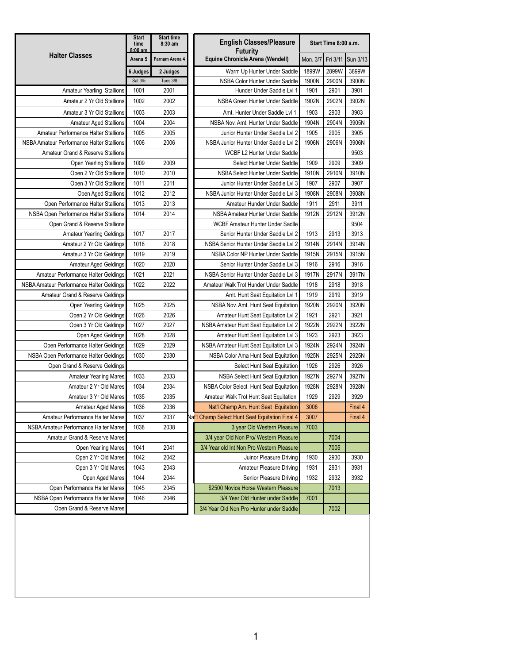|                                           | <b>Start</b><br>time<br>$8:00 \text{ am}$ | <b>Start time</b><br>8:30 am | <b>English Classes/Pleasure</b><br>Futurity     |          | Start Time 8:00 a.m. |                     |
|-------------------------------------------|-------------------------------------------|------------------------------|-------------------------------------------------|----------|----------------------|---------------------|
| <b>Halter Classes</b>                     | Arena 5                                   | Farnam Arena 4               | Equine Chronicle Arena (Wendell)                | Mon. 3/7 |                      | Fri 3/11   Sun 3/13 |
|                                           | 6 Judges                                  | 2 Judges                     | Warm Up Hunter Under Saddle                     | 1899W    | 2899W                | 3899W               |
|                                           | Sat 3/5                                   | Tues 3/8                     | NSBA Color Hunter Under Saddle                  | 1900N    | 2900N                | 3900N               |
| <b>Amateur Yearling Stallions</b>         | 1001                                      | 2001                         | Hunder Under Saddle Lvl 1                       | 1901     | 2901                 | 3901                |
| Amateur 2 Yr Old Stallions                | 1002                                      | 2002                         | NSBA Green Hunter Under Saddle                  | 1902N    | 2902N                | 3902N               |
| Amateur 3 Yr Old Stallions                | 1003                                      | 2003                         | Amt. Hunter Under Saddle Lvl 1                  | 1903     | 2903                 | 3903                |
| Amateur Aged Stallions                    | 1004                                      | 2004                         | NSBA Nov. Amt. Hunter Under Saddle              | 1904N    | 2904N                | 3905N               |
| Amateur Performance Halter Stallions      | 1005                                      | 2005                         | Junior Hunter Under Saddle Lvl 2                | 1905     | 2905                 | 3905                |
| NSBA Amateur Performance Halter Stallions | 1006                                      | 2006                         | NSBA Junior Hunter Under Saddle Lvl 2           | 1906N    | 2906N                | 3906N               |
| Amateur Grand & Reserve Stallions         |                                           |                              | WCBF L2 Hunter Under Saddle                     |          |                      | 9503                |
| Open Yearling Stallions                   | 1009                                      | 2009                         | Select Hunter Under Saddle                      | 1909     | 2909                 | 3909                |
| Open 2 Yr Old Stallions                   | 1010                                      | 2010                         | NSBA Select Hunter Under Saddle                 | 1910N    | 2910N                | 3910N               |
| Open 3 Yr Old Stallions                   | 1011                                      | 2011                         | Junior Hunter Under Saddle Lvl 3                | 1907     | 2907                 | 3907                |
| Open Aged Stallions                       | 1012                                      | 2012                         | NSBA Junior Hunter Under Saddle Lvl 3           | 1908N    | 2908N                | 3908N               |
| Open Performance Halter Stallions         | 1013                                      | 2013                         | Amateur Hunder Under Saddle                     | 1911     | 2911                 | 3911                |
| NSBA Open Performance Halter Stallions    | 1014                                      | 2014                         | NSBA Amateur Hunter Under Saddle                | 1912N    | 2912N                | 3912N               |
| Open Grand & Reserve Stallions            |                                           |                              | <b>WCBF Amateur Hunter Under Sadlle</b>         |          |                      | 9504                |
| <b>Amateur Yearling Geldings</b>          | 1017                                      | 2017                         | Senior Hunter Under Saddle Lvl 2                | 1913     | 2913                 | 3913                |
| Amateur 2 Yr Old Geldings                 | 1018                                      | 2018                         | NSBA Senior Hunter Under Saddle Lvl 2           | 1914N    | 2914N                | 3914N               |
| Amateur 3 Yr Old Geldings                 | 1019                                      | 2019                         | NSBA Color NP Hunter Under Saddle               | 1915N    | 2915N                | 3915N               |
| <b>Amateur Aged Geldings</b>              | 1020                                      | 2020                         | Senior Hunter Under Saddle Lvl 3                | 1916     | 2916                 | 3916                |
| Amateur Performance Halter Geldings       | 1021                                      | 2021                         | NSBA Senior Hunter Under Saddle Lvl 3           | 1917N    | 2917N                | 3917N               |
| NSBA Amateur Performance Halter Geldings  | 1022                                      | 2022                         | Amateur Walk Trot Hunder Under Saddle           | 1918     | 2918                 | 3918                |
| Amateur Grand & Reserve Geldings          |                                           |                              | Amt. Hunt Seat Equitation Lvl 1                 | 1919     | 2919                 | 3919                |
| Open Yearling Geldings                    | 1025                                      | 2025                         | NSBA Nov. Amt. Hunt Seat Equitation             | 1920N    | 2920N                | 3920N               |
| Open 2 Yr Old Geldings                    | 1026                                      | 2026                         | Amateur Hunt Seat Equitation Lvl 2              | 1921     | 2921                 | 3921                |
| Open 3 Yr Old Geldings                    | 1027                                      | 2027                         | NSBA Amateur Hunt Seat Equitation Lvl 2         | 1922N    | 2922N                | 3922N               |
| Open Aged Geldings                        | 1028                                      | 2028                         | Amateur Hunt Seat Equitation Lvl 3              | 1923     | 2923                 | 3923                |
| Open Performance Halter Geldings          | 1029                                      | 2029                         | NSBA Amateur Hunt Seat Equitation Lvl 3         | 1924N    | 2924N                | 3924N               |
| NSBA Open Performance Halter Geldings     | 1030                                      | 2030                         | NSBA Color Ama Hunt Seat Equitation             | 1925N    | 2925N                | 2925N               |
| Open Grand & Reserve Geldings             |                                           |                              | Select Hunt Seat Equitation                     | 1926     | 2926                 | 3926                |
| <b>Amateur Yearling Mares</b>             | 1033                                      | 2033                         | NSBA Select Hunt Seat Equitation                | 1927N    | 2927N                | 3927N               |
| Amateur 2 Yr Old Mares                    | 1034                                      | 2034                         | NSBA Color Select Hunt Seat Equitation          | 1928N    | 2928N                | 3928N               |
| Amateur 3 Yr Old Mares                    | 1035                                      | 2035                         | Amateur Walk Trot Hunt Seat Equitation          | 1929     | 2929                 | 3929                |
| <b>Amateur Aged Mares</b>                 | 1036                                      | 2036                         | Nat'l Champ Am. Hunt Seat Equitation            | 3006     |                      | Final 4             |
| Amateur Performance Halter Mares          | 1037                                      | 2037                         | Nat'l Champ Select Hunt Seat Equitation Final 4 | 3007     |                      | Final 4             |
| NSBA Amateur Performance Halter Mares     | 1038                                      | 2038                         | 3 year Old Western Pleasure                     | 7003     |                      |                     |
| Amateur Grand & Reserve Mares             |                                           |                              | 3/4 year Old Non Pro/ Western Pleasure          |          | 7004                 |                     |
| Open Yearling Mares                       | 1041                                      | 2041                         | 3/4 Year old Int Non Pro Western Pleasure       |          | 7005                 |                     |
| Open 2 Yr Old Mares                       | 1042                                      | 2042                         | Juinor Pleasure Driving                         | 1930     | 2930                 | 3930                |
| Open 3 Yr Old Mares                       | 1043                                      | 2043                         | Amateur Pleasure Driving                        | 1931     | 2931                 | 3931                |
| Open Aged Mares                           | 1044                                      | 2044                         | Senior Pleasure Driving                         | 1932     | 2932                 | 3932                |
| Open Performance Halter Mares             | 1045                                      | 2045                         | \$2500 Novice Horse Western Pleasure            |          | 7013                 |                     |
| NSBA Open Performance Halter Mares        | 1046                                      | 2046                         | 3/4 Year Old Hunter under Saddle                | 7001     |                      |                     |
| Open Grand & Reserve Mares                |                                           |                              | 3/4 Year Old Non Pro Hunter under Saddle        |          | 7002                 |                     |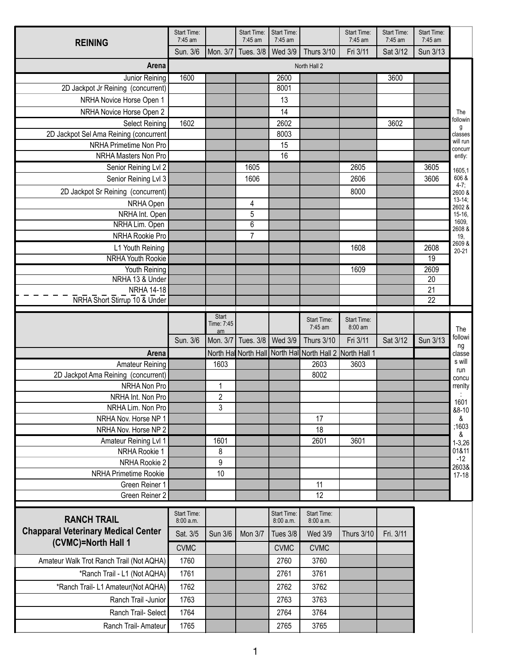| <b>REINING</b>                                 | Start Time:<br>7:45 am   |                | <b>Start Time:</b><br>7:45 am | Start Time:<br>7:45 am          |                                                           | Start Time:<br>7:45 am | <b>Start Time:</b><br>7:45 am | Start Time:<br>7:45 am |                              |
|------------------------------------------------|--------------------------|----------------|-------------------------------|---------------------------------|-----------------------------------------------------------|------------------------|-------------------------------|------------------------|------------------------------|
|                                                | Sun. 3/6                 | Mon. 3/7       | Tues. 3/8                     | <b>Wed 3/9</b>                  | <b>Thurs 3/10</b>                                         | Fri 3/11               | Sat 3/12                      | Sun 3/13               |                              |
| Arena                                          |                          |                |                               |                                 | North Hall 2                                              |                        |                               |                        |                              |
| Junior Reining                                 | 1600                     |                |                               | 2600                            |                                                           |                        | 3600                          |                        |                              |
| 2D Jackpot Jr Reining (concurrent)             |                          |                |                               | 8001                            |                                                           |                        |                               |                        |                              |
| NRHA Novice Horse Open 1                       |                          |                |                               | 13                              |                                                           |                        |                               |                        |                              |
| NRHA Novice Horse Open 2                       |                          |                |                               | 14                              |                                                           |                        |                               |                        | The                          |
| <b>Select Reining</b>                          | 1602                     |                |                               | 2602                            |                                                           |                        | 3602                          |                        | followin<br>g                |
| 2D Jackpot Sel Ama Reining (concurrent         |                          |                |                               | 8003                            |                                                           |                        |                               |                        | classes<br>will run          |
| NRHA Primetime Non Pro                         |                          |                |                               | 15                              |                                                           |                        |                               |                        | concurr                      |
| NRHA Masters Non Pro                           |                          |                |                               | 16                              |                                                           |                        |                               |                        | ently:                       |
| Senior Reining Lvl 2                           |                          |                | 1605                          |                                 |                                                           | 2605                   |                               | 3605                   | 1605,1                       |
| Senior Reining Lvl 3                           |                          |                | 1606                          |                                 |                                                           | 2606                   |                               | 3606                   | 606 &<br>$4-7;$              |
| 2D Jackpot Sr Reining (concurrent)             |                          |                |                               |                                 |                                                           | 8000                   |                               |                        | $2600^{\circ}$ &<br>$13-14;$ |
| NRHA Open                                      |                          |                | 4                             |                                 |                                                           |                        |                               |                        | 2602 &                       |
| NRHA Int. Open                                 |                          |                | 5                             |                                 |                                                           |                        |                               |                        | 15-16,<br>1609,              |
| NRHA Lim. Open                                 |                          |                | 6<br>$\overline{7}$           |                                 |                                                           |                        |                               |                        | 2608 &                       |
| NRHA Rookie Pro                                |                          |                |                               |                                 |                                                           |                        |                               |                        | 19,<br>2609 &                |
| L1 Youth Reining<br><b>NRHA Youth Rookie</b>   |                          |                |                               |                                 |                                                           | 1608                   |                               | 2608<br>19             | $20 - 21$                    |
| Youth Reining                                  |                          |                |                               |                                 |                                                           | 1609                   |                               | 2609                   |                              |
| NRHA 13 & Under                                |                          |                |                               |                                 |                                                           |                        |                               | 20                     |                              |
| <b>NRHA 14-18</b>                              |                          |                |                               |                                 |                                                           |                        |                               | 21                     |                              |
| NRHA Short Stirrup 10 & Under                  |                          |                |                               |                                 |                                                           |                        |                               | $\overline{22}$        |                              |
|                                                |                          | Start          |                               |                                 |                                                           |                        |                               |                        |                              |
|                                                |                          | Time: 7:45     |                               |                                 | Start Time:<br>7:45 am                                    | Start Time:<br>8:00 am |                               |                        | The                          |
|                                                | Sun. 3/6                 | am<br>Mon. 3/7 | Tues. 3/8                     | <b>Wed 3/9</b>                  | <b>Thurs 3/10</b>                                         | Fri 3/11               | Sat 3/12                      | Sun 3/13               | followi                      |
| Arena                                          |                          |                |                               |                                 | North Hal North Hall North Hall North Hall 2 North Hall 1 |                        |                               |                        | ng<br>classe                 |
| <b>Amateur Reining</b>                         |                          | 1603           |                               |                                 | 2603                                                      | 3603                   |                               |                        | s will                       |
| 2D Jackpot Ama Reining (concurrent)            |                          |                |                               |                                 | 8002                                                      |                        |                               |                        | run<br>concu                 |
| NRHA Non Pro                                   |                          | 1              |                               |                                 |                                                           |                        |                               |                        | rrenlty                      |
| NRHA Int. Non Pro                              |                          | $\overline{2}$ |                               |                                 |                                                           |                        |                               |                        | 1601                         |
| NRHA Lim. Non Pro                              |                          | 3              |                               |                                 |                                                           |                        |                               |                        | &8-10                        |
| NRHA Nov. Horse NP 1                           |                          |                |                               |                                 | 17                                                        |                        |                               |                        | &                            |
| NRHA Nov. Horse NP 2                           |                          |                |                               |                                 | 18                                                        |                        |                               |                        | ;1603<br>&                   |
| Amateur Reining Lvl 1                          |                          | 1601           |                               |                                 | 2601                                                      | 3601                   |                               |                        | $1 - 3,26$                   |
| NRHA Rookie 1                                  |                          | 8              |                               |                                 |                                                           |                        |                               |                        | 01&11<br>$-12$               |
| NRHA Rookie 2                                  |                          | 9<br>10        |                               |                                 |                                                           |                        |                               |                        | 2603&                        |
| <b>NRHA Primetime Rookie</b><br>Green Reiner 1 |                          |                |                               |                                 | 11                                                        |                        |                               |                        | $17-18$                      |
| Green Reiner 2                                 |                          |                |                               |                                 | 12                                                        |                        |                               |                        |                              |
|                                                |                          |                |                               |                                 |                                                           |                        |                               |                        |                              |
| <b>RANCH TRAIL</b>                             | Start Time:<br>8:00 a.m. |                |                               | <b>Start Time:</b><br>8:00 a.m. | Start Time:<br>8:00 a.m.                                  |                        |                               |                        |                              |
| <b>Chapparal Veterinary Medical Center</b>     | Sat. 3/5                 | <b>Sun 3/6</b> | <b>Mon 3/7</b>                | <b>Tues 3/8</b>                 | <b>Wed 3/9</b>                                            | <b>Thurs 3/10</b>      | Fri. 3/11                     |                        |                              |
| (CVMC)=North Hall 1                            |                          |                |                               |                                 |                                                           |                        |                               |                        |                              |
|                                                | <b>CVMC</b>              |                |                               | <b>CVMC</b>                     | <b>CVMC</b>                                               |                        |                               |                        |                              |
| Amateur Walk Trot Ranch Trail (Not AQHA)       | 1760                     |                |                               | 2760                            | 3760                                                      |                        |                               |                        |                              |
| *Ranch Trail - L1 (Not AQHA)                   | 1761                     |                |                               | 2761                            | 3761                                                      |                        |                               |                        |                              |
| *Ranch Trail- L1 Amateur(Not AQHA)             | 1762                     |                |                               | 2762                            | 3762                                                      |                        |                               |                        |                              |
| Ranch Trail -Junior                            | 1763                     |                |                               | 2763                            | 3763                                                      |                        |                               |                        |                              |
| Ranch Trail- Select                            | 1764                     |                |                               | 2764                            | 3764                                                      |                        |                               |                        |                              |
| Ranch Trail-Amateur                            | 1765                     |                |                               | 2765                            | 3765                                                      |                        |                               |                        |                              |
|                                                |                          |                |                               |                                 |                                                           |                        |                               |                        |                              |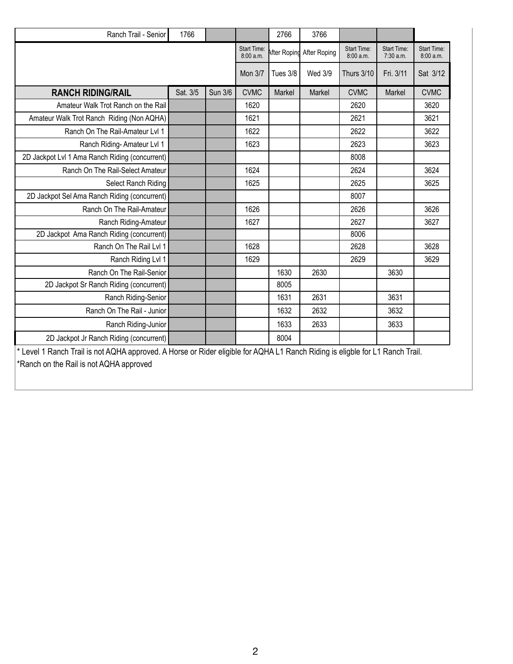| Ranch Trail - Senior                                                                                                          | 1766     |         |                         | 2766     | 3766                      |                          |                                 |                         |
|-------------------------------------------------------------------------------------------------------------------------------|----------|---------|-------------------------|----------|---------------------------|--------------------------|---------------------------------|-------------------------|
|                                                                                                                               |          |         | Start Time:<br>8:00a.m. |          | After Roping After Roping | Start Time:<br>8:00 a.m. | <b>Start Time:</b><br>7:30 a.m. | Start Time:<br>8:00a.m. |
|                                                                                                                               |          |         | <b>Mon 3/7</b>          | Tues 3/8 | Wed 3/9                   | <b>Thurs 3/10</b>        | Fri. 3/11                       | Sat 3/12                |
| <b>RANCH RIDING/RAIL</b>                                                                                                      | Sat. 3/5 | Sun 3/6 | <b>CVMC</b>             | Markel   | Markel                    | <b>CVMC</b>              | Markel                          | <b>CVMC</b>             |
| Amateur Walk Trot Ranch on the Rail                                                                                           |          |         | 1620                    |          |                           | 2620                     |                                 | 3620                    |
| Amateur Walk Trot Ranch Riding (Non AQHA)                                                                                     |          |         | 1621                    |          |                           | 2621                     |                                 | 3621                    |
| Ranch On The Rail-Amateur Lvl 1                                                                                               |          |         | 1622                    |          |                           | 2622                     |                                 | 3622                    |
| Ranch Riding-Amateur Lvl 1                                                                                                    |          |         | 1623                    |          |                           | 2623                     |                                 | 3623                    |
| 2D Jackpot Lvl 1 Ama Ranch Riding (concurrent)                                                                                |          |         |                         |          |                           | 8008                     |                                 |                         |
| Ranch On The Rail-Select Amateur                                                                                              |          |         | 1624                    |          |                           | 2624                     |                                 | 3624                    |
| Select Ranch Riding                                                                                                           |          |         | 1625                    |          |                           | 2625                     |                                 | 3625                    |
| 2D Jackpot Sel Ama Ranch Riding (concurrent)                                                                                  |          |         |                         |          |                           | 8007                     |                                 |                         |
| Ranch On The Rail-Amateur                                                                                                     |          |         | 1626                    |          |                           | 2626                     |                                 | 3626                    |
| Ranch Riding-Amateur                                                                                                          |          |         | 1627                    |          |                           | 2627                     |                                 | 3627                    |
| 2D Jackpot Ama Ranch Riding (concurrent)                                                                                      |          |         |                         |          |                           | 8006                     |                                 |                         |
| Ranch On The Rail Lvl 1                                                                                                       |          |         | 1628                    |          |                           | 2628                     |                                 | 3628                    |
| Ranch Riding Lvl 1                                                                                                            |          |         | 1629                    |          |                           | 2629                     |                                 | 3629                    |
| Ranch On The Rail-Senior                                                                                                      |          |         |                         | 1630     | 2630                      |                          | 3630                            |                         |
| 2D Jackpot Sr Ranch Riding (concurrent)                                                                                       |          |         |                         | 8005     |                           |                          |                                 |                         |
| Ranch Riding-Senior                                                                                                           |          |         |                         | 1631     | 2631                      |                          | 3631                            |                         |
| Ranch On The Rail - Junior                                                                                                    |          |         |                         | 1632     | 2632                      |                          | 3632                            |                         |
| Ranch Riding-Junior                                                                                                           |          |         |                         | 1633     | 2633                      |                          | 3633                            |                         |
| 2D Jackpot Jr Ranch Riding (concurrent)                                                                                       |          |         |                         | 8004     |                           |                          |                                 |                         |
| * Level 1 Ranch Trail is not AQHA approved. A Horse or Rider eligible for AQHA L1 Ranch Riding is eligble for L1 Ranch Trail. |          |         |                         |          |                           |                          |                                 |                         |

\*Ranch on the Rail is not AQHA approved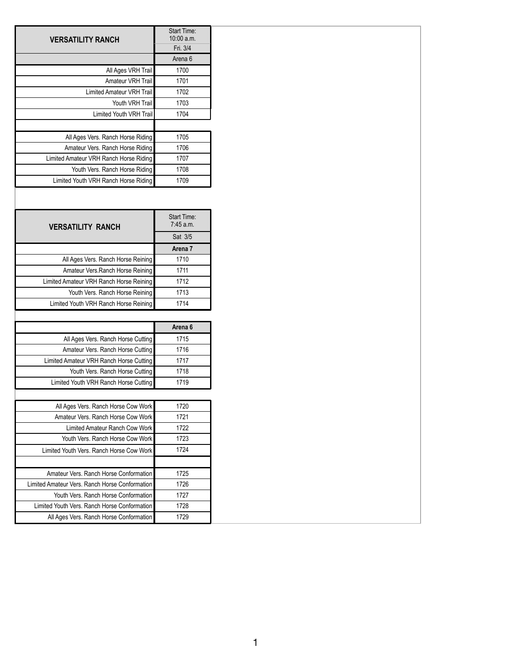| <b>VERSATILITY RANCH</b>               | Start Time:<br>$10:00$ a.m.<br>Fri. 3/4 |
|----------------------------------------|-----------------------------------------|
|                                        | Arena 6                                 |
| All Ages VRH Trail                     | 1700                                    |
| Amateur VRH Trail                      | 1701                                    |
| Limited Amateur VRH Trail              | 1702                                    |
| Youth VRH Trail                        | 1703                                    |
| Limited Youth VRH Trail                | 1704                                    |
|                                        |                                         |
| All Ages Vers. Ranch Horse Riding      | 1705                                    |
| Amateur Vers. Ranch Horse Riding       | 1706                                    |
| Limited Amateur VRH Ranch Horse Riding | 1707                                    |
| Youth Vers. Ranch Horse Riding         | 1708                                    |
| Limited Youth VRH Ranch Horse Riding   | 1709                                    |

| <b>VERSATILITY RANCH</b>                | Start Time:<br>7:45 a.m. |
|-----------------------------------------|--------------------------|
|                                         | Sat 3/5                  |
|                                         | Arena 7                  |
| All Ages Vers. Ranch Horse Reining      | 1710                     |
| Amateur Vers. Ranch Horse Reining       | 1711                     |
| Limited Amateur VRH Ranch Horse Reining | 1712                     |
| Youth Vers. Ranch Horse Reining         | 1713                     |
| Limited Youth VRH Ranch Horse Reining   | 1714                     |

|                                         | Arena 6 |
|-----------------------------------------|---------|
| All Ages Vers. Ranch Horse Cutting      | 1715    |
| Amateur Vers. Ranch Horse Cutting       | 1716    |
| Limited Amateur VRH Ranch Horse Cutting | 1717    |
| Youth Vers. Ranch Horse Cutting         | 1718    |
| Limited Youth VRH Ranch Horse Cutting   | 1719    |

| All Ages Vers. Ranch Horse Cow Work            | 1720 |
|------------------------------------------------|------|
| Amateur Vers. Ranch Horse Cow Work             | 1721 |
| Limited Amateur Ranch Cow Work                 | 1722 |
| Youth Vers, Ranch Horse Cow Work               | 1723 |
| Limited Youth Vers. Ranch Horse Cow Work       | 1724 |
|                                                |      |
| Amateur Vers, Ranch Horse Conformation         | 1725 |
| Limited Amateur Vers. Ranch Horse Conformation | 1726 |
| Youth Vers. Ranch Horse Conformation           | 1727 |
| Limited Youth Vers, Ranch Horse Conformation   | 1728 |
| All Ages Vers. Ranch Horse Conformation        | 1729 |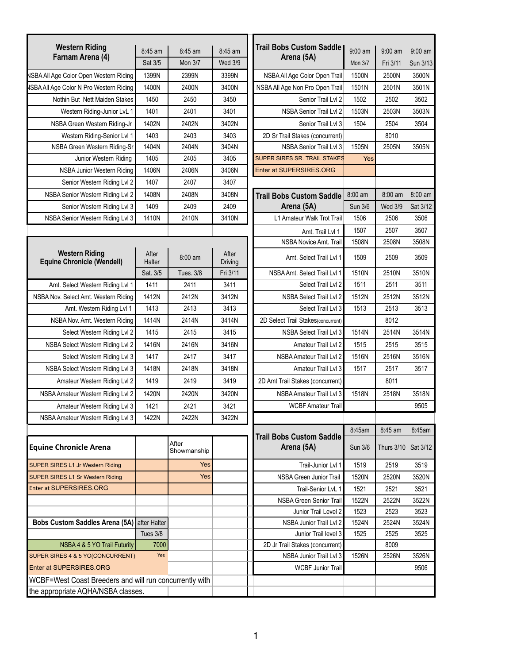| <b>Western Riding</b>                                      |                 |                      |                  | <b>Trail Bobs Custom Saddle</b>               |                |                |          |
|------------------------------------------------------------|-----------------|----------------------|------------------|-----------------------------------------------|----------------|----------------|----------|
| Farnam Arena (4)                                           | 8:45 am         | 8:45 am              | 8:45 am          | Arena (5A)                                    | $9:00$ am      | $9:00$ am      | 9:00 am  |
|                                                            | Sat 3/5         | <b>Mon 3/7</b>       | <b>Wed 3/9</b>   |                                               | <b>Mon 3/7</b> | Fri 3/11       | Sun 3/13 |
| <b>NSBA All Age Color Open Western Riding</b>              | 1399N           | 2399N                | 3399N            | NSBA All Age Color Open Trail                 | 1500N          | 2500N          | 3500N    |
| <b>NSBA All Age Color N Pro Western Riding</b>             | 1400N           | 2400N                | 3400N            | NSBA All Age Non Pro Open Trail               | 1501N          | 2501N          | 3501N    |
| Nothin But Nett Maiden Stakes                              | 1450            | 2450                 | 3450             | Senior Trail Lvl 2                            | 1502           | 2502           | 3502     |
| Western Riding-Junior LvL 1                                | 1401            | 2401                 | 3401             | NSBA Senior Trail Lvl 2                       | 1503N          | 2503N          | 3503N    |
| NSBA Green Western Riding-Jr                               | 1402N           | 2402N                | 3402N            | Senior Trail Lvl 3                            | 1504           | 2504           | 3504     |
| Western Riding-Senior Lvl 1                                | 1403            | 2403                 | 3403             | 2D Sr Trail Stakes (concurrent)               |                | 8010           |          |
| NSBA Green Western Riding-Sr                               | 1404N           | 2404N                | 3404N            | NSBA Senior Trail Lvl 3                       | 1505N          | 2505N          | 3505N    |
| Junior Western Riding                                      | 1405            | 2405                 | 3405             | SUPER SIRES SR. TRAIL STAKES                  | Yes            |                |          |
| NSBA Junior Western Riding                                 | 1406N           | 2406N                | 3406N            | <b>Enter at SUPERSIRES.ORG</b>                |                |                |          |
| Senior Western Riding Lvl 2                                | 1407            | 2407                 | 3407             |                                               |                |                |          |
| NSBA Senior Western Riding Lvl 2                           | 1408N           | 2408N                | 3408N            | <b>Trail Bobs Custom Saddle</b>               | 8:00 am        | 8:00 am        | 8:00 am  |
| Senior Western Riding Lvl 3                                | 1409            | 2409                 | 2409             | Arena (5A)                                    | Sun 3/6        | <b>Wed 3/9</b> | Sat 3/12 |
| NSBA Senior Western Riding Lvl 3                           | 1410N           | 2410N                | 3410N            | L1 Amateur Walk Trot Trail                    | 1506           | 2506           | 3506     |
|                                                            |                 |                      |                  | Amt. Trail Lvl 1                              | 1507           | 2507           | 3507     |
|                                                            |                 |                      |                  | NSBA Novice Amt. Trail                        | 1508N          | 2508N          | 3508N    |
| <b>Western Riding</b><br><b>Equine Chronicle (Wendell)</b> | After<br>Halter | 8:00 am              | After<br>Driving | Amt. Select Trail Lvl 1                       | 1509           | 2509           | 3509     |
|                                                            | Sat. 3/5        | <b>Tues. 3/8</b>     | Fri 3/11         | NSBA Amt. Select Trail Lvl 1                  | 1510N          | 2510N          | 3510N    |
| Amt. Select Western Riding Lvl 1                           | 1411            | 2411                 | 3411             | Select Trail Lvl 2                            | 1511           | 2511           | 3511     |
| NSBA Nov. Select Amt. Western Riding                       | 1412N           | 2412N                | 3412N            | NSBA Select Trail Lvl 2                       | 1512N          | 2512N          | 3512N    |
| Amt. Western Riding Lvl 1                                  | 1413            | 2413                 | 3413             | Select Trail Lvl 3                            | 1513           | 2513           | 3513     |
| NSBA Nov. Amt. Western Riding                              | 1414N           | 2414N                | 3414N            | 2D Select Trail Stakes(concurrent)            |                | 8012           |          |
| Select Western Riding Lvl 2                                | 1415            | 2415                 | 3415             | NSBA Select Trail Lvl 3                       | 1514N          | 2514N          | 3514N    |
| NSBA Select Western Riding Lvl 2                           | 1416N           | 2416N                | 3416N            | Amateur Trail Lvl 2                           | 1515           | 2515           | 3515     |
| Select Western Riding Lvl 3                                | 1417            | 2417                 | 3417             | NSBA Amateur Trail Lvl 2                      | 1516N          | 2516N          | 3516N    |
| NSBA Select Western Riding Lvl 3                           | 1418N           | 2418N                | 3418N            | Amateur Trail Lvl 3                           | 1517           | 2517           | 3517     |
| Amateur Western Riding Lvl 2                               | 1419            | 2419                 | 3419             | 2D Amt Trail Stakes (concurrent)              |                | 8011           |          |
| NSBA Amateur Western Riding Lvl 2                          | 1420N           | 2420N                | 3420N            | NSBA Amateur Trail Lvl 3                      | 1518N          | 2518N          | 3518N    |
| Amateur Western Riding Lvl 3                               | 1421            | 2421                 | 3421             | <b>WCBF Amateur Trail</b>                     |                |                | 9505     |
| NSBA Amateur Western Riding Lvl 3                          | 1422N           | 2422N                | 3422N            |                                               |                |                |          |
|                                                            |                 |                      |                  |                                               | 8:45am         | 8:45 am        | 8:45am   |
| <b>Equine Chronicle Arena</b>                              |                 | After<br>Showmanship |                  | <b>Trail Bobs Custom Saddle</b><br>Arena (5A) | Sun 3/6        | Thurs 3/10     | Sat 3/12 |
| <b>SUPER SIRES L1 Jr Western Riding</b>                    |                 | Yes                  |                  | Trail-Junior Lvl 1                            | 1519           | 2519           | 3519     |
| SUPER SIRES L1 Sr Western Riding                           |                 | Yes                  |                  | <b>NSBA Green Junior Trail</b>                | 1520N          | 2520N          | 3520N    |
| <b>Enter at SUPERSIRES.ORG</b>                             |                 |                      |                  | Trail-Senior LvL 1                            | 1521           | 2521           | 3521     |
|                                                            |                 |                      |                  | NSBA Green Senior Trail                       | 1522N          | 2522N          | 3522N    |
|                                                            |                 |                      |                  | Junior Trail Level 2                          | 1523           | 2523           | 3523     |
| Bobs Custom Saddles Arena (5A) after Halter                |                 |                      |                  | NSBA Junior Trail Lvl 2                       | 1524N          | 2524N          | 3524N    |
|                                                            | Tues 3/8        |                      |                  | Junior Trail level 3                          | 1525           | 2525           | 3525     |
| NSBA 4 & 5 YO Trail Futurity                               | 7000            |                      |                  | 2D Jr Trail Stakes (concurrent)               |                | 8009           |          |
| SUPER SIRES 4 & 5 YO(CONCURRENT)                           | Yes             |                      |                  | NSBA Junior Trail Lvl 3                       | 1526N          | 2526N          | 3526N    |
| Enter at SUPERSIRES.ORG                                    |                 |                      |                  | <b>WCBF Junior Trail</b>                      |                |                | 9506     |
| WCBF=West Coast Breeders and will run concurrently with    |                 |                      |                  |                                               |                |                |          |
| the appropriate AQHA/NSBA classes.                         |                 |                      |                  |                                               |                |                |          |